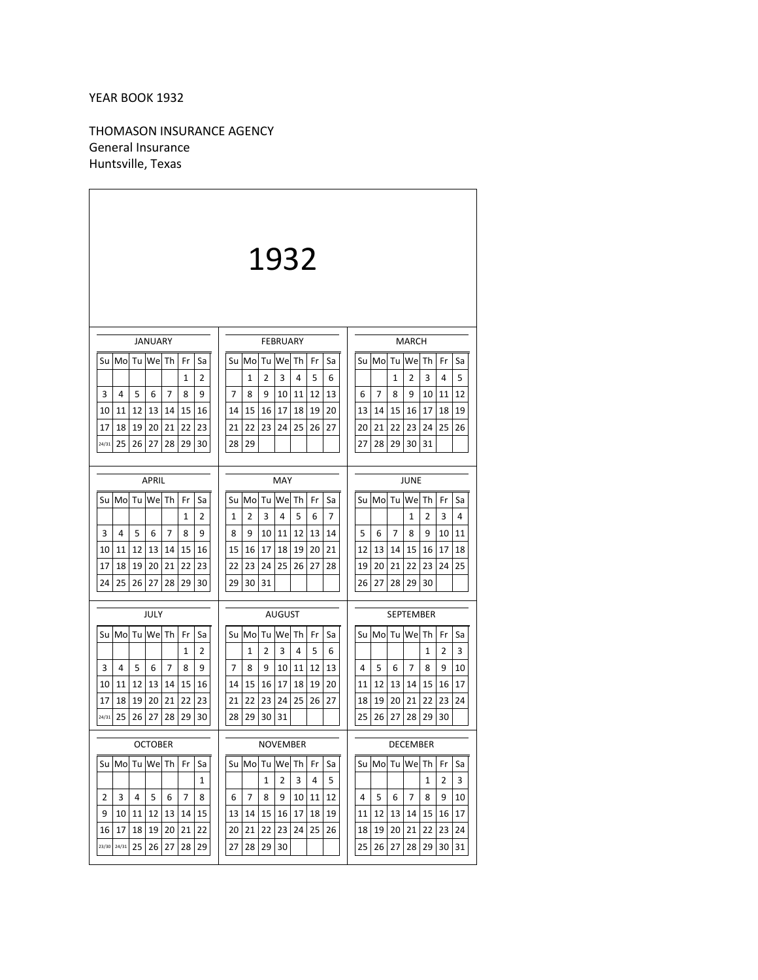# YEAR BOOK 1932

THOMASON INSURANCE AGENCY General Insurance Huntsville, Texas

|                                                                   | 1932                                                                            |                                                                               |  |  |  |  |  |  |  |  |  |  |  |
|-------------------------------------------------------------------|---------------------------------------------------------------------------------|-------------------------------------------------------------------------------|--|--|--|--|--|--|--|--|--|--|--|
| <b>JANUARY</b>                                                    | <b>MARCH</b>                                                                    |                                                                               |  |  |  |  |  |  |  |  |  |  |  |
| We Th<br>Su Mo<br>Tu<br>Fr<br>Sa                                  | <b>FEBRUARY</b><br>We<br>Su Mo<br>Tu<br>Th<br>Fr<br>Sa                          | Su Mo<br>Tu<br><b>We</b><br>Th<br>Fr<br>Sa                                    |  |  |  |  |  |  |  |  |  |  |  |
| 1<br>2                                                            | 3<br>4<br>5<br>1<br>2<br>6                                                      | 2<br>3<br>4<br>5<br>1                                                         |  |  |  |  |  |  |  |  |  |  |  |
| 5<br>3<br>4<br>6<br>7<br>8<br>9                                   | 7<br>8<br>9<br>10<br>11<br>12<br>13                                             | 7<br>8<br>9<br>10<br>11<br>12<br>6                                            |  |  |  |  |  |  |  |  |  |  |  |
| 12<br>13<br>15<br>10<br>11<br>14<br>16                            | 15<br>16<br>17<br>18<br>19<br>14<br>20                                          | 13<br>15<br>17<br>18<br>19<br>14<br>16                                        |  |  |  |  |  |  |  |  |  |  |  |
| 21<br>22<br>23<br>17<br>18<br>19<br>20                            | 22<br>23<br>24<br>25<br>27<br>21<br>26                                          | 21<br>22<br>23<br>25<br>20<br>24<br>26                                        |  |  |  |  |  |  |  |  |  |  |  |
| 25<br>28<br>29<br>30<br>24/31<br>26<br>27                         | 29<br>28                                                                        | 27<br>28<br>29<br>30<br>31                                                    |  |  |  |  |  |  |  |  |  |  |  |
|                                                                   |                                                                                 | JUNE                                                                          |  |  |  |  |  |  |  |  |  |  |  |
|                                                                   | <b>APRIL</b><br>MAY                                                             |                                                                               |  |  |  |  |  |  |  |  |  |  |  |
| Su<br>Mo<br>Tu<br>Wel Th<br>Fr<br>Sa                              | Su Mo<br>Tu<br>We<br>Th<br>Fr<br>Sa<br>7                                        | Su Mo<br>Tu<br>We Th<br>Fr<br>Sa                                              |  |  |  |  |  |  |  |  |  |  |  |
| $\mathbf{1}$<br>$\overline{2}$<br>3<br>5<br>4<br>6<br>7<br>8<br>9 | 5<br>$\overline{2}$<br>3<br>4<br>1<br>6<br>8<br>9<br>10<br>11<br>12<br>13<br>14 | $\mathbf{1}$<br>$\overline{2}$<br>3<br>4<br>5<br>6<br>7<br>8<br>9<br>10<br>11 |  |  |  |  |  |  |  |  |  |  |  |
| 10<br>11<br>12<br>13<br>14<br>15<br>16                            | 17<br>18<br>15<br>16<br>19<br>20<br>21                                          | 12<br>17<br>13<br>14<br>15<br>16<br>18                                        |  |  |  |  |  |  |  |  |  |  |  |
| 19<br>21<br>17<br>18<br>20<br>22<br>23                            | 23<br>24<br>25<br>22<br>26<br>27<br>28                                          | 22<br>23<br>24<br>25<br>19<br>20<br>21                                        |  |  |  |  |  |  |  |  |  |  |  |
| 24<br>25<br>26<br>27<br>28<br>29<br>30                            | 29<br>30<br>31                                                                  | 27<br>28<br>29<br>26<br>30                                                    |  |  |  |  |  |  |  |  |  |  |  |
|                                                                   |                                                                                 |                                                                               |  |  |  |  |  |  |  |  |  |  |  |
| JULY                                                              | AUGUST                                                                          | <b>SEPTEMBER</b>                                                              |  |  |  |  |  |  |  |  |  |  |  |
| We Th<br>Su<br>Mo<br>Tu<br>Fr<br>Sa                               | Su Mo<br>We<br>Tu<br>Th<br>Fr<br>Sa                                             | Su Mo<br>Wel<br>Tu<br>Th<br>Fr<br>Sa                                          |  |  |  |  |  |  |  |  |  |  |  |
| 2<br>1<br>3<br>4<br>5<br>7<br>8<br>9<br>6                         | 5<br>2<br>3<br>4<br>6<br>1<br>7<br>8<br>9<br>10<br>12<br>13<br>11               | 2<br>3<br>1<br>5<br>7<br>8<br>9<br>10<br>4<br>6                               |  |  |  |  |  |  |  |  |  |  |  |
| 12<br>13<br>14<br>15<br>10<br>11<br>16                            | 15<br>16<br>17<br>18<br>19<br>14<br>20                                          | 13<br>14<br>15<br>16<br>11<br>12<br>17                                        |  |  |  |  |  |  |  |  |  |  |  |
| 17<br>18<br>19<br>20<br>21<br>22<br>23                            | 21<br>22<br>23<br>24<br>25<br>26<br>27                                          | 18<br>19<br>20<br>21<br>22<br>23<br>24                                        |  |  |  |  |  |  |  |  |  |  |  |
| 29<br>24/31<br>25<br>26<br>27<br>28<br>30                         | 28<br>29<br>30<br>31                                                            | 25<br>26<br>27<br>28<br>29<br>30                                              |  |  |  |  |  |  |  |  |  |  |  |
| OCTOBER                                                           | NOVEMBER                                                                        | DECEMBER                                                                      |  |  |  |  |  |  |  |  |  |  |  |
| Su Mol Tu Wel Th   Fr  <br>Sa                                     | Su Mol Tu Wel Th<br>Fr<br>Sa                                                    | Su Mo Tu We Th<br>Fr<br>Sa                                                    |  |  |  |  |  |  |  |  |  |  |  |
| $\mathbf{1}$                                                      | 1<br>$\overline{2}$<br>3<br>5<br>4                                              | $\mathbf{2}$<br>$\mathbf{1}$<br>$\overline{\mathbf{3}}$                       |  |  |  |  |  |  |  |  |  |  |  |
| $\overline{2}$<br>3<br>5<br>$\overline{7}$<br>4<br>6<br>8         | $6 \mid 7$<br>9<br>8<br>10<br>11<br>12                                          | $\overline{7}$<br>8<br>9<br>4<br>5<br>-6<br>10                                |  |  |  |  |  |  |  |  |  |  |  |
| 9<br>10<br>11<br>12<br>15<br>13<br>14                             | 13 14<br>15<br>16<br>17<br>18<br>19                                             | 12<br>13<br>15<br> 17<br>11<br>14<br>16                                       |  |  |  |  |  |  |  |  |  |  |  |
| 16<br>17<br>18<br>20<br>21<br>22<br>19                            | 20 <sub>1</sub><br>21<br>22<br>23<br>24<br>25<br>26                             | 18<br>19<br>20<br>21<br>22<br>23<br>24                                        |  |  |  |  |  |  |  |  |  |  |  |
| 25<br>27<br>28<br>29<br>23/30<br>24/31<br>26 <sub>1</sub>         | 27 28<br>29 30                                                                  | 26 27<br>25<br>28<br>29 <sub>1</sub><br>30 31                                 |  |  |  |  |  |  |  |  |  |  |  |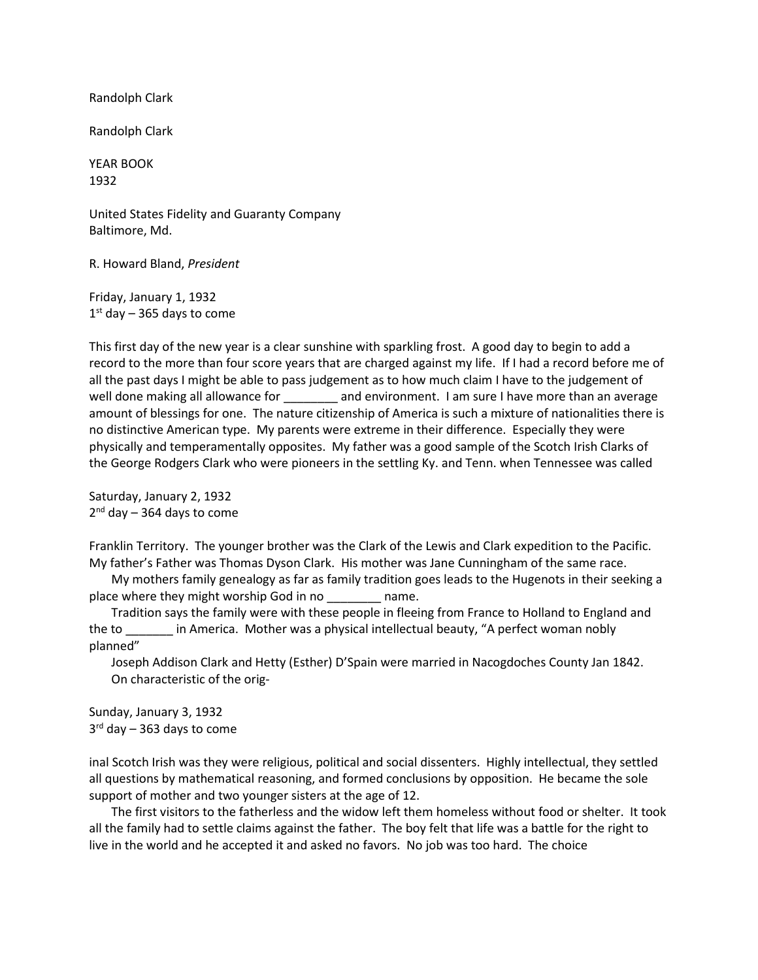Randolph Clark

Randolph Clark

YEAR BOOK 1932

United States Fidelity and Guaranty Company Baltimore, Md.

R. Howard Bland, *President*

Friday, January 1, 1932  $1<sup>st</sup>$  day – 365 days to come

This first day of the new year is a clear sunshine with sparkling frost. A good day to begin to add a record to the more than four score years that are charged against my life. If I had a record before me of all the past days I might be able to pass judgement as to how much claim I have to the judgement of well done making all allowance for and environment. I am sure I have more than an average amount of blessings for one. The nature citizenship of America is such a mixture of nationalities there is no distinctive American type. My parents were extreme in their difference. Especially they were physically and temperamentally opposites. My father was a good sample of the Scotch Irish Clarks of the George Rodgers Clark who were pioneers in the settling Ky. and Tenn. when Tennessee was called

Saturday, January 2, 1932  $2^{nd}$  day – 364 days to come

Franklin Territory. The younger brother was the Clark of the Lewis and Clark expedition to the Pacific. My father's Father was Thomas Dyson Clark. His mother was Jane Cunningham of the same race.

My mothers family genealogy as far as family tradition goes leads to the Hugenots in their seeking a place where they might worship God in no \_\_\_\_\_\_\_\_\_ name.

Tradition says the family were with these people in fleeing from France to Holland to England and the to \_\_\_\_\_\_\_ in America. Mother was a physical intellectual beauty, "A perfect woman nobly planned"

Joseph Addison Clark and Hetty (Esther) D'Spain were married in Nacogdoches County Jan 1842. On characteristic of the orig-

Sunday, January 3, 1932  $3<sup>rd</sup>$  day – 363 days to come

inal Scotch Irish was they were religious, political and social dissenters. Highly intellectual, they settled all questions by mathematical reasoning, and formed conclusions by opposition. He became the sole support of mother and two younger sisters at the age of 12.

The first visitors to the fatherless and the widow left them homeless without food or shelter. It took all the family had to settle claims against the father. The boy felt that life was a battle for the right to live in the world and he accepted it and asked no favors. No job was too hard. The choice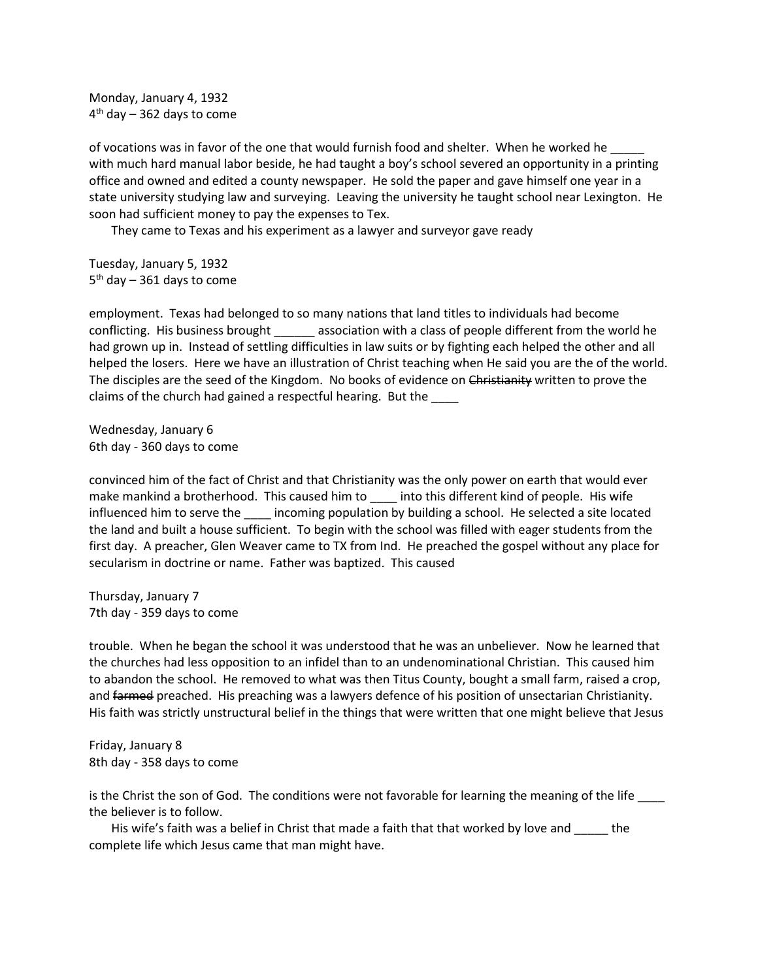Monday, January 4, 1932  $4<sup>th</sup>$  day – 362 days to come

of vocations was in favor of the one that would furnish food and shelter. When he worked he with much hard manual labor beside, he had taught a boy's school severed an opportunity in a printing office and owned and edited a county newspaper. He sold the paper and gave himself one year in a state university studying law and surveying. Leaving the university he taught school near Lexington. He soon had sufficient money to pay the expenses to Tex.

They came to Texas and his experiment as a lawyer and surveyor gave ready

Tuesday, January 5, 1932  $5<sup>th</sup>$  day – 361 days to come

employment. Texas had belonged to so many nations that land titles to individuals had become conflicting. His business brought association with a class of people different from the world he had grown up in. Instead of settling difficulties in law suits or by fighting each helped the other and all helped the losers. Here we have an illustration of Christ teaching when He said you are the of the world. The disciples are the seed of the Kingdom. No books of evidence on Christianity written to prove the claims of the church had gained a respectful hearing. But the \_\_\_\_

Wednesday, January 6 6th day - 360 days to come

convinced him of the fact of Christ and that Christianity was the only power on earth that would ever make mankind a brotherhood. This caused him to \_\_\_\_ into this different kind of people. His wife influenced him to serve the incoming population by building a school. He selected a site located the land and built a house sufficient. To begin with the school was filled with eager students from the first day. A preacher, Glen Weaver came to TX from Ind. He preached the gospel without any place for secularism in doctrine or name. Father was baptized. This caused

Thursday, January 7 7th day - 359 days to come

trouble. When he began the school it was understood that he was an unbeliever. Now he learned that the churches had less opposition to an infidel than to an undenominational Christian. This caused him to abandon the school. He removed to what was then Titus County, bought a small farm, raised a crop, and farmed preached. His preaching was a lawyers defence of his position of unsectarian Christianity. His faith was strictly unstructural belief in the things that were written that one might believe that Jesus

Friday, January 8 8th day - 358 days to come

is the Christ the son of God. The conditions were not favorable for learning the meaning of the life the believer is to follow.

His wife's faith was a belief in Christ that made a faith that that worked by love and \_\_\_\_\_ the complete life which Jesus came that man might have.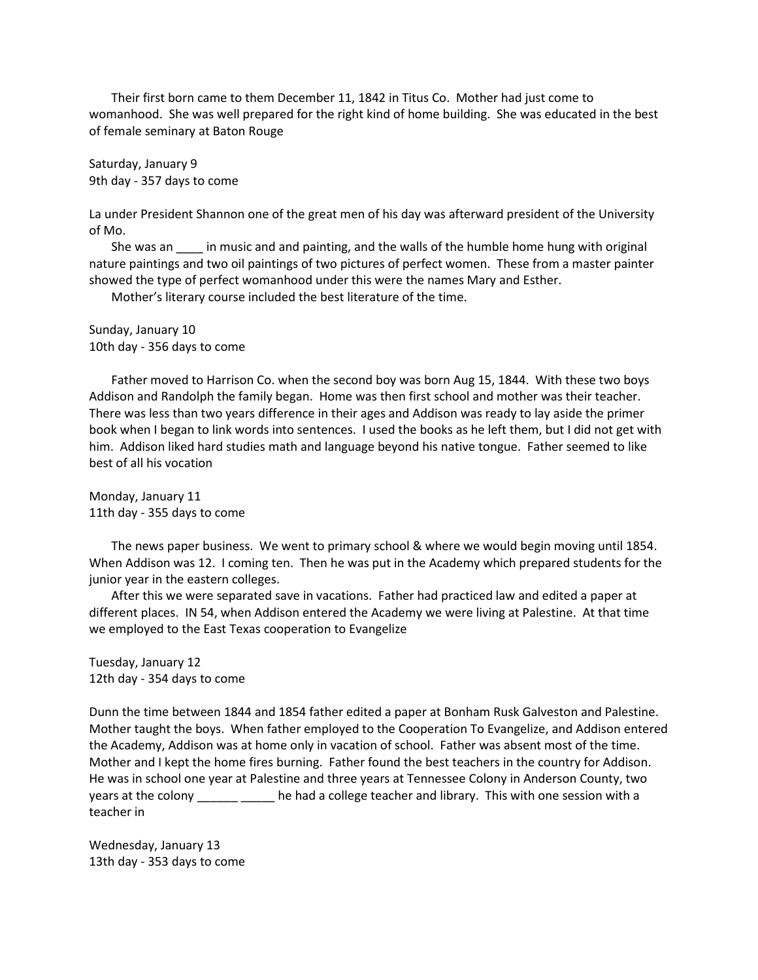Their first born came to them December 11, 1842 in Titus Co. Mother had just come to womanhood. She was well prepared for the right kind of home building. She was educated in the best of female seminary at Baton Rouge

Saturday, January 9 9th day - 357 days to come

La under President Shannon one of the great men of his day was afterward president of the University of Mo.

She was an equival in music and and painting, and the walls of the humble home hung with original nature paintings and two oil paintings of two pictures of perfect women. These from a master painter showed the type of perfect womanhood under this were the names Mary and Esther.

Mother's literary course included the best literature of the time.

Sunday, January 10 10th day - 356 days to come

Father moved to Harrison Co. when the second boy was born Aug 15, 1844. With these two boys Addison and Randolph the family began. Home was then first school and mother was their teacher. There was less than two years difference in their ages and Addison was ready to lay aside the primer book when I began to link words into sentences. I used the books as he left them, but I did not get with him. Addison liked hard studies math and language beyond his native tongue. Father seemed to like best of all his vocation

Monday, January 11 11th day - 355 days to come

The news paper business. We went to primary school & where we would begin moving until 1854. When Addison was 12. I coming ten. Then he was put in the Academy which prepared students for the junior year in the eastern colleges.

After this we were separated save in vacations. Father had practiced law and edited a paper at different places. IN 54, when Addison entered the Academy we were living at Palestine. At that time we employed to the East Texas cooperation to Evangelize

Tuesday, January 12 12th day - 354 days to come

Dunn the time between 1844 and 1854 father edited a paper at Bonham Rusk Galveston and Palestine. Mother taught the boys. When father employed to the Cooperation To Evangelize, and Addison entered the Academy, Addison was at home only in vacation of school. Father was absent most of the time. Mother and I kept the home fires burning. Father found the best teachers in the country for Addison. He was in school one year at Palestine and three years at Tennessee Colony in Anderson County, two years at the colony \_\_\_\_\_\_\_\_\_\_\_\_\_\_ he had a college teacher and library. This with one session with a teacher in

Wednesday, January 13 13th day - 353 days to come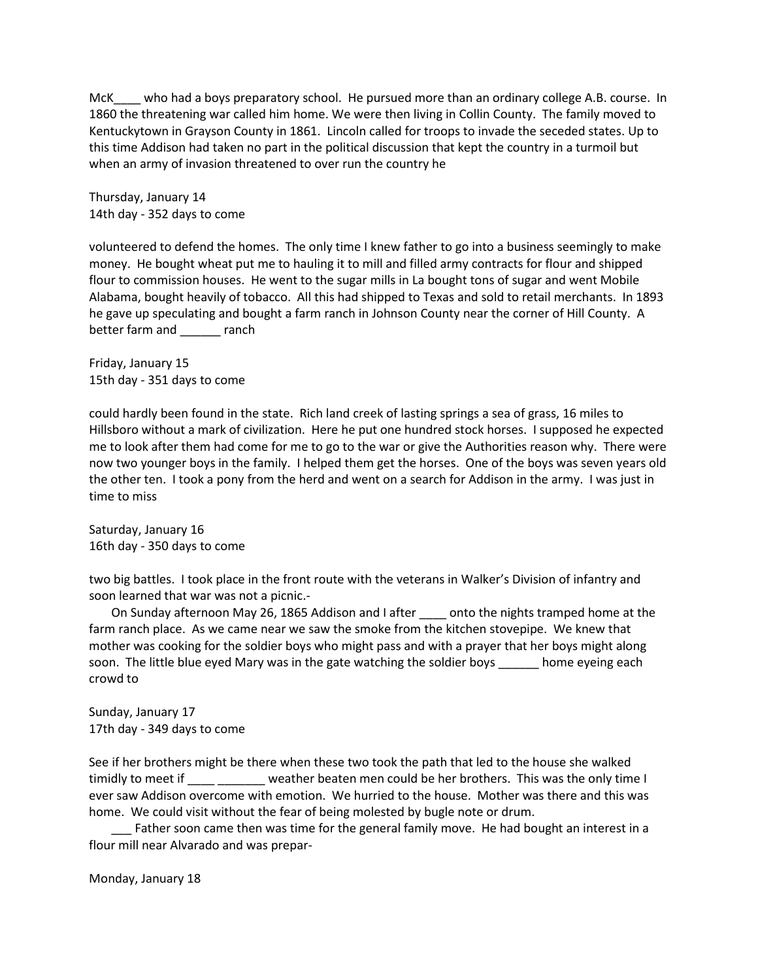McK who had a boys preparatory school. He pursued more than an ordinary college A.B. course. In 1860 the threatening war called him home. We were then living in Collin County. The family moved to Kentuckytown in Grayson County in 1861. Lincoln called for troops to invade the seceded states. Up to this time Addison had taken no part in the political discussion that kept the country in a turmoil but when an army of invasion threatened to over run the country he

Thursday, January 14 14th day - 352 days to come

volunteered to defend the homes. The only time I knew father to go into a business seemingly to make money. He bought wheat put me to hauling it to mill and filled army contracts for flour and shipped flour to commission houses. He went to the sugar mills in La bought tons of sugar and went Mobile Alabama, bought heavily of tobacco. All this had shipped to Texas and sold to retail merchants. In 1893 he gave up speculating and bought a farm ranch in Johnson County near the corner of Hill County. A better farm and ranch

Friday, January 15 15th day - 351 days to come

could hardly been found in the state. Rich land creek of lasting springs a sea of grass, 16 miles to Hillsboro without a mark of civilization. Here he put one hundred stock horses. I supposed he expected me to look after them had come for me to go to the war or give the Authorities reason why. There were now two younger boys in the family. I helped them get the horses. One of the boys was seven years old the other ten. I took a pony from the herd and went on a search for Addison in the army. I was just in time to miss

Saturday, January 16 16th day - 350 days to come

two big battles. I took place in the front route with the veterans in Walker's Division of infantry and soon learned that war was not a picnic.-

On Sunday afternoon May 26, 1865 Addison and I after \_\_\_\_ onto the nights tramped home at the farm ranch place. As we came near we saw the smoke from the kitchen stovepipe. We knew that mother was cooking for the soldier boys who might pass and with a prayer that her boys might along soon. The little blue eyed Mary was in the gate watching the soldier boys home eyeing each crowd to

Sunday, January 17 17th day - 349 days to come

See if her brothers might be there when these two took the path that led to the house she walked timidly to meet if weather beaten men could be her brothers. This was the only time I ever saw Addison overcome with emotion. We hurried to the house. Mother was there and this was home. We could visit without the fear of being molested by bugle note or drum.

Father soon came then was time for the general family move. He had bought an interest in a flour mill near Alvarado and was prepar-

Monday, January 18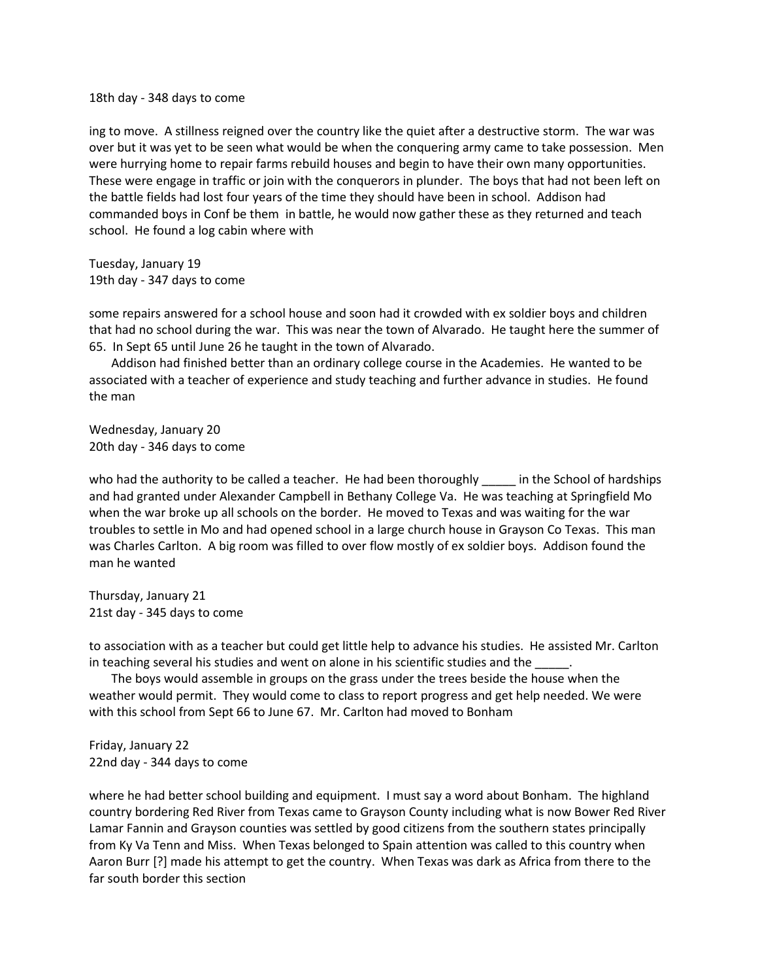18th day - 348 days to come

ing to move. A stillness reigned over the country like the quiet after a destructive storm. The war was over but it was yet to be seen what would be when the conquering army came to take possession. Men were hurrying home to repair farms rebuild houses and begin to have their own many opportunities. These were engage in traffic or join with the conquerors in plunder. The boys that had not been left on the battle fields had lost four years of the time they should have been in school. Addison had commanded boys in Conf be them in battle, he would now gather these as they returned and teach school. He found a log cabin where with

Tuesday, January 19 19th day - 347 days to come

some repairs answered for a school house and soon had it crowded with ex soldier boys and children that had no school during the war. This was near the town of Alvarado. He taught here the summer of 65. In Sept 65 until June 26 he taught in the town of Alvarado.

Addison had finished better than an ordinary college course in the Academies. He wanted to be associated with a teacher of experience and study teaching and further advance in studies. He found the man

Wednesday, January 20 20th day - 346 days to come

who had the authority to be called a teacher. He had been thoroughly in the School of hardships and had granted under Alexander Campbell in Bethany College Va. He was teaching at Springfield Mo when the war broke up all schools on the border. He moved to Texas and was waiting for the war troubles to settle in Mo and had opened school in a large church house in Grayson Co Texas. This man was Charles Carlton. A big room was filled to over flow mostly of ex soldier boys. Addison found the man he wanted

Thursday, January 21 21st day - 345 days to come

to association with as a teacher but could get little help to advance his studies. He assisted Mr. Carlton in teaching several his studies and went on alone in his scientific studies and the

The boys would assemble in groups on the grass under the trees beside the house when the weather would permit. They would come to class to report progress and get help needed. We were with this school from Sept 66 to June 67. Mr. Carlton had moved to Bonham

Friday, January 22 22nd day - 344 days to come

where he had better school building and equipment. I must say a word about Bonham. The highland country bordering Red River from Texas came to Grayson County including what is now Bower Red River Lamar Fannin and Grayson counties was settled by good citizens from the southern states principally from Ky Va Tenn and Miss. When Texas belonged to Spain attention was called to this country when Aaron Burr [?] made his attempt to get the country. When Texas was dark as Africa from there to the far south border this section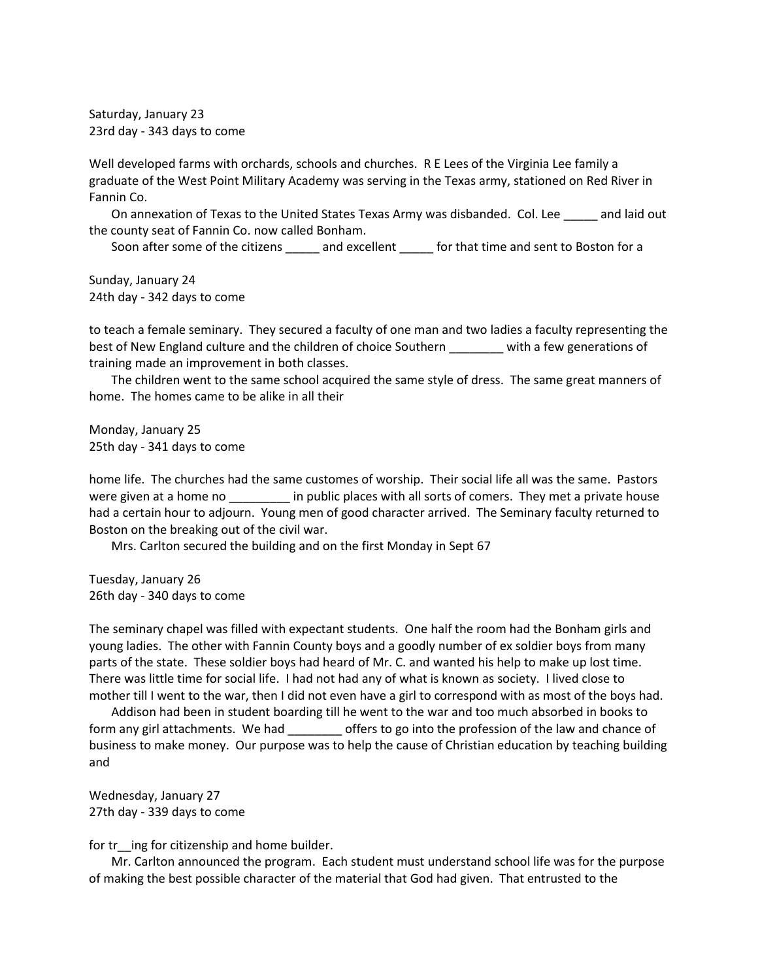Saturday, January 23 23rd day - 343 days to come

Well developed farms with orchards, schools and churches. R E Lees of the Virginia Lee family a graduate of the West Point Military Academy was serving in the Texas army, stationed on Red River in Fannin Co.

On annexation of Texas to the United States Texas Army was disbanded. Col. Lee \_\_\_\_\_ and laid out the county seat of Fannin Co. now called Bonham.

Soon after some of the citizens \_\_\_\_\_\_ and excellent \_\_\_\_\_\_ for that time and sent to Boston for a

Sunday, January 24 24th day - 342 days to come

to teach a female seminary. They secured a faculty of one man and two ladies a faculty representing the best of New England culture and the children of choice Southern with a few generations of training made an improvement in both classes.

The children went to the same school acquired the same style of dress. The same great manners of home. The homes came to be alike in all their

Monday, January 25 25th day - 341 days to come

home life. The churches had the same customes of worship. Their social life all was the same. Pastors were given at a home no \_\_\_\_\_\_\_\_\_ in public places with all sorts of comers. They met a private house had a certain hour to adjourn. Young men of good character arrived. The Seminary faculty returned to Boston on the breaking out of the civil war.

Mrs. Carlton secured the building and on the first Monday in Sept 67

Tuesday, January 26 26th day - 340 days to come

The seminary chapel was filled with expectant students. One half the room had the Bonham girls and young ladies. The other with Fannin County boys and a goodly number of ex soldier boys from many parts of the state. These soldier boys had heard of Mr. C. and wanted his help to make up lost time. There was little time for social life. I had not had any of what is known as society. I lived close to mother till I went to the war, then I did not even have a girl to correspond with as most of the boys had.

Addison had been in student boarding till he went to the war and too much absorbed in books to form any girl attachments. We had \_\_\_\_\_\_\_\_ offers to go into the profession of the law and chance of business to make money. Our purpose was to help the cause of Christian education by teaching building and

Wednesday, January 27 27th day - 339 days to come

for tr<sup>ing</sup> for citizenship and home builder.

Mr. Carlton announced the program. Each student must understand school life was for the purpose of making the best possible character of the material that God had given. That entrusted to the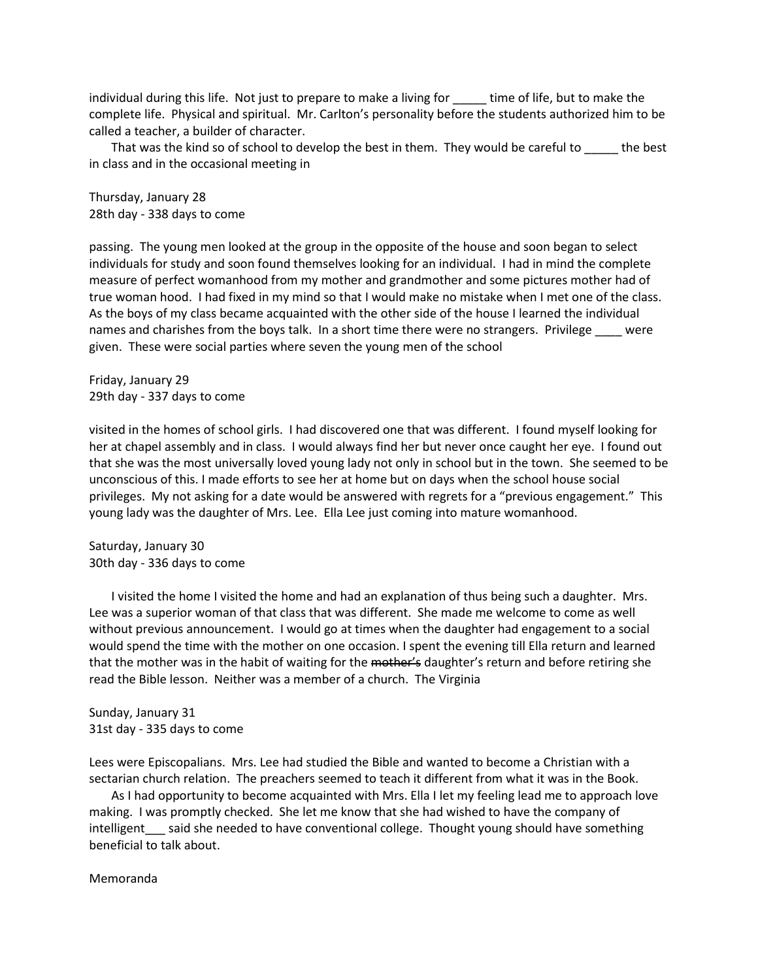individual during this life. Not just to prepare to make a living for \_\_\_\_\_ time of life, but to make the complete life. Physical and spiritual. Mr. Carlton's personality before the students authorized him to be called a teacher, a builder of character.

That was the kind so of school to develop the best in them. They would be careful to \_\_\_\_\_ the best in class and in the occasional meeting in

Thursday, January 28 28th day - 338 days to come

passing. The young men looked at the group in the opposite of the house and soon began to select individuals for study and soon found themselves looking for an individual. I had in mind the complete measure of perfect womanhood from my mother and grandmother and some pictures mother had of true woman hood. I had fixed in my mind so that I would make no mistake when I met one of the class. As the boys of my class became acquainted with the other side of the house I learned the individual names and charishes from the boys talk. In a short time there were no strangers. Privilege were given. These were social parties where seven the young men of the school

Friday, January 29 29th day - 337 days to come

visited in the homes of school girls. I had discovered one that was different. I found myself looking for her at chapel assembly and in class. I would always find her but never once caught her eye. I found out that she was the most universally loved young lady not only in school but in the town. She seemed to be unconscious of this. I made efforts to see her at home but on days when the school house social privileges. My not asking for a date would be answered with regrets for a "previous engagement." This young lady was the daughter of Mrs. Lee. Ella Lee just coming into mature womanhood.

Saturday, January 30 30th day - 336 days to come

I visited the home I visited the home and had an explanation of thus being such a daughter. Mrs. Lee was a superior woman of that class that was different. She made me welcome to come as well without previous announcement. I would go at times when the daughter had engagement to a social would spend the time with the mother on one occasion. I spent the evening till Ella return and learned that the mother was in the habit of waiting for the mother's daughter's return and before retiring she read the Bible lesson. Neither was a member of a church. The Virginia

Sunday, January 31 31st day - 335 days to come

Lees were Episcopalians. Mrs. Lee had studied the Bible and wanted to become a Christian with a sectarian church relation. The preachers seemed to teach it different from what it was in the Book.

As I had opportunity to become acquainted with Mrs. Ella I let my feeling lead me to approach love making. I was promptly checked. She let me know that she had wished to have the company of intelligent\_\_\_ said she needed to have conventional college. Thought young should have something beneficial to talk about.

Memoranda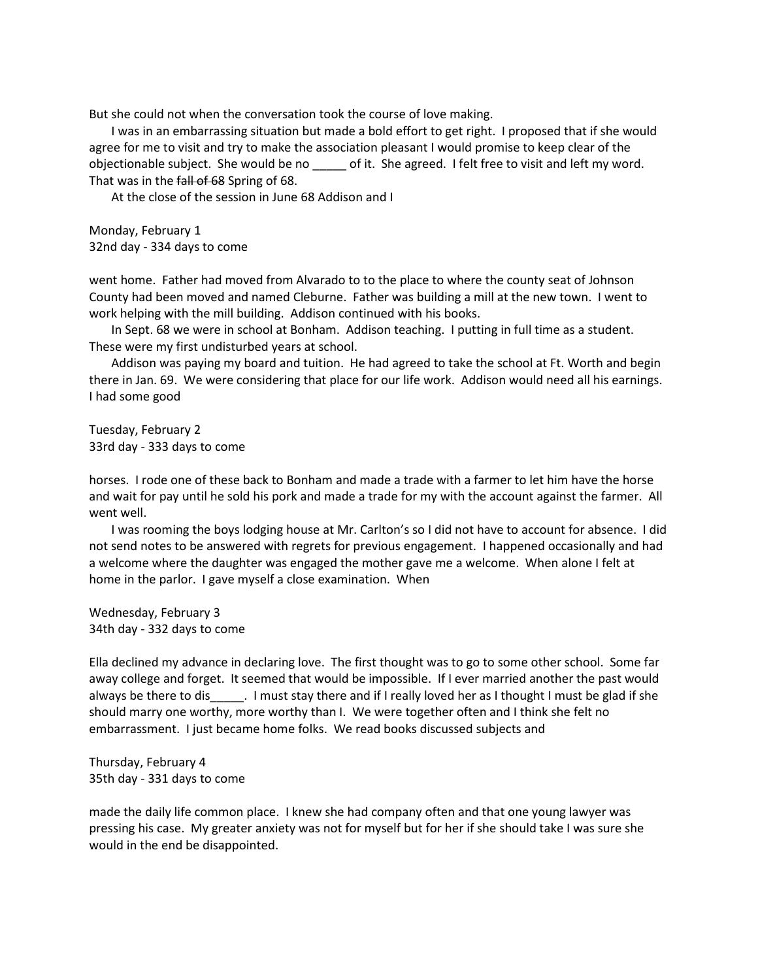But she could not when the conversation took the course of love making.

I was in an embarrassing situation but made a bold effort to get right. I proposed that if she would agree for me to visit and try to make the association pleasant I would promise to keep clear of the objectionable subject. She would be no \_\_\_\_\_ of it. She agreed. I felt free to visit and left my word. That was in the fall of 68 Spring of 68.

At the close of the session in June 68 Addison and I

Monday, February 1 32nd day - 334 days to come

went home. Father had moved from Alvarado to to the place to where the county seat of Johnson County had been moved and named Cleburne. Father was building a mill at the new town. I went to work helping with the mill building. Addison continued with his books.

In Sept. 68 we were in school at Bonham. Addison teaching. I putting in full time as a student. These were my first undisturbed years at school.

Addison was paying my board and tuition. He had agreed to take the school at Ft. Worth and begin there in Jan. 69. We were considering that place for our life work. Addison would need all his earnings. I had some good

Tuesday, February 2 33rd day - 333 days to come

horses. I rode one of these back to Bonham and made a trade with a farmer to let him have the horse and wait for pay until he sold his pork and made a trade for my with the account against the farmer. All went well.

I was rooming the boys lodging house at Mr. Carlton's so I did not have to account for absence. I did not send notes to be answered with regrets for previous engagement. I happened occasionally and had a welcome where the daughter was engaged the mother gave me a welcome. When alone I felt at home in the parlor. I gave myself a close examination. When

Wednesday, February 3 34th day - 332 days to come

Ella declined my advance in declaring love. The first thought was to go to some other school. Some far away college and forget. It seemed that would be impossible. If I ever married another the past would always be there to dis  $\ldots$  I must stay there and if I really loved her as I thought I must be glad if she should marry one worthy, more worthy than I. We were together often and I think she felt no embarrassment. I just became home folks. We read books discussed subjects and

Thursday, February 4 35th day - 331 days to come

made the daily life common place. I knew she had company often and that one young lawyer was pressing his case. My greater anxiety was not for myself but for her if she should take I was sure she would in the end be disappointed.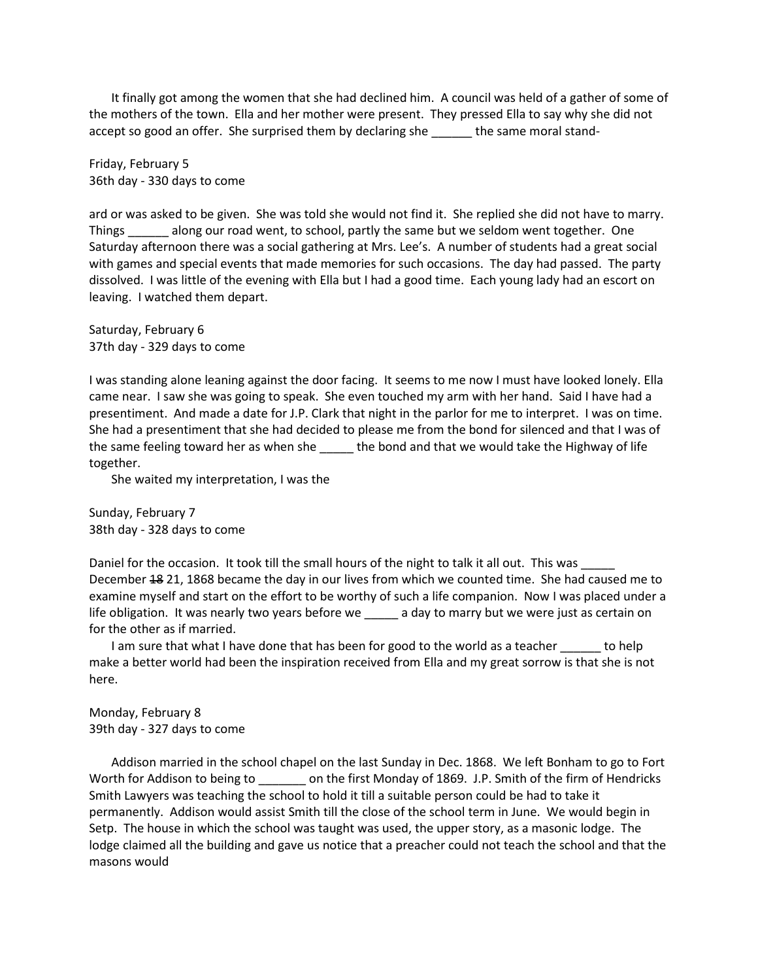It finally got among the women that she had declined him. A council was held of a gather of some of the mothers of the town. Ella and her mother were present. They pressed Ella to say why she did not accept so good an offer. She surprised them by declaring she \_\_\_\_\_\_ the same moral stand-

Friday, February 5 36th day - 330 days to come

ard or was asked to be given. She was told she would not find it. She replied she did not have to marry. Things along our road went, to school, partly the same but we seldom went together. One Saturday afternoon there was a social gathering at Mrs. Lee's. A number of students had a great social with games and special events that made memories for such occasions. The day had passed. The party dissolved. I was little of the evening with Ella but I had a good time. Each young lady had an escort on leaving. I watched them depart.

Saturday, February 6 37th day - 329 days to come

I was standing alone leaning against the door facing. It seems to me now I must have looked lonely. Ella came near. I saw she was going to speak. She even touched my arm with her hand. Said I have had a presentiment. And made a date for J.P. Clark that night in the parlor for me to interpret. I was on time. She had a presentiment that she had decided to please me from the bond for silenced and that I was of the same feeling toward her as when she \_\_\_\_\_\_ the bond and that we would take the Highway of life together.

She waited my interpretation, I was the

Sunday, February 7 38th day - 328 days to come

Daniel for the occasion. It took till the small hours of the night to talk it all out. This was December 18 21, 1868 became the day in our lives from which we counted time. She had caused me to examine myself and start on the effort to be worthy of such a life companion. Now I was placed under a life obligation. It was nearly two years before we all a day to marry but we were just as certain on for the other as if married.

I am sure that what I have done that has been for good to the world as a teacher to help make a better world had been the inspiration received from Ella and my great sorrow is that she is not here.

Monday, February 8 39th day - 327 days to come

Addison married in the school chapel on the last Sunday in Dec. 1868. We left Bonham to go to Fort Worth for Addison to being to \_\_\_\_\_\_\_ on the first Monday of 1869. J.P. Smith of the firm of Hendricks Smith Lawyers was teaching the school to hold it till a suitable person could be had to take it permanently. Addison would assist Smith till the close of the school term in June. We would begin in Setp. The house in which the school was taught was used, the upper story, as a masonic lodge. The lodge claimed all the building and gave us notice that a preacher could not teach the school and that the masons would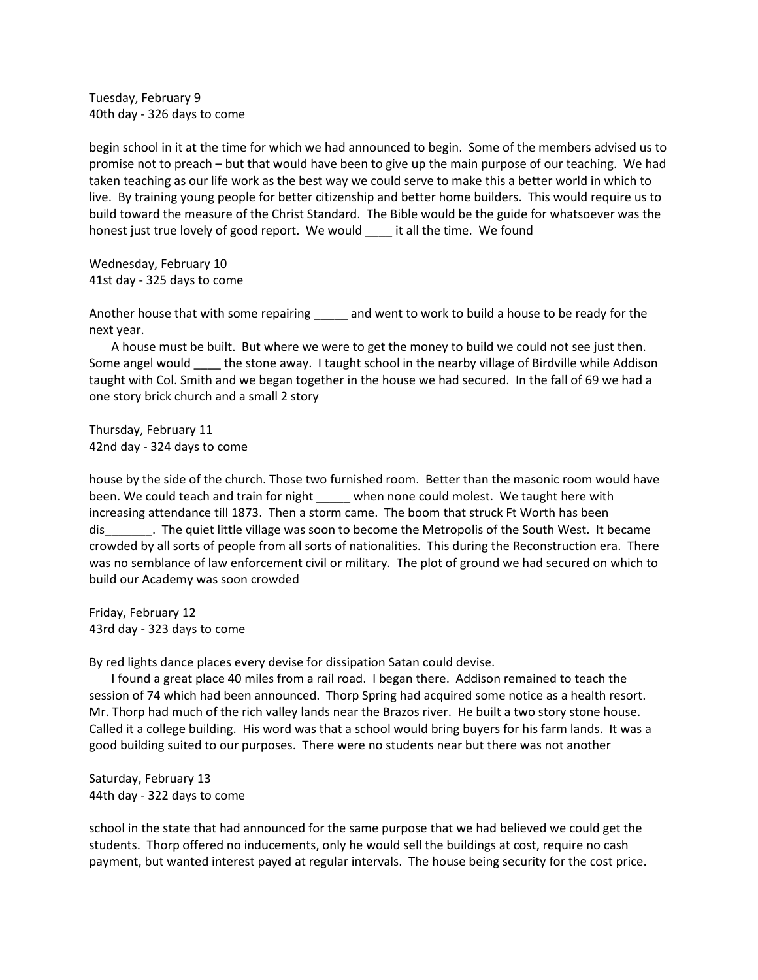Tuesday, February 9 40th day - 326 days to come

begin school in it at the time for which we had announced to begin. Some of the members advised us to promise not to preach – but that would have been to give up the main purpose of our teaching. We had taken teaching as our life work as the best way we could serve to make this a better world in which to live. By training young people for better citizenship and better home builders. This would require us to build toward the measure of the Christ Standard. The Bible would be the guide for whatsoever was the honest just true lovely of good report. We would \_\_\_\_\_ it all the time. We found

Wednesday, February 10 41st day - 325 days to come

Another house that with some repairing \_\_\_\_\_ and went to work to build a house to be ready for the next year.

A house must be built. But where we were to get the money to build we could not see just then. Some angel would the stone away. I taught school in the nearby village of Birdville while Addison taught with Col. Smith and we began together in the house we had secured. In the fall of 69 we had a one story brick church and a small 2 story

Thursday, February 11 42nd day - 324 days to come

house by the side of the church. Those two furnished room. Better than the masonic room would have been. We could teach and train for night when none could molest. We taught here with increasing attendance till 1873. Then a storm came. The boom that struck Ft Worth has been dis\_\_\_\_\_\_\_. The quiet little village was soon to become the Metropolis of the South West. It became crowded by all sorts of people from all sorts of nationalities. This during the Reconstruction era. There was no semblance of law enforcement civil or military. The plot of ground we had secured on which to build our Academy was soon crowded

Friday, February 12 43rd day - 323 days to come

By red lights dance places every devise for dissipation Satan could devise.

I found a great place 40 miles from a rail road. I began there. Addison remained to teach the session of 74 which had been announced. Thorp Spring had acquired some notice as a health resort. Mr. Thorp had much of the rich valley lands near the Brazos river. He built a two story stone house. Called it a college building. His word was that a school would bring buyers for his farm lands. It was a good building suited to our purposes. There were no students near but there was not another

Saturday, February 13 44th day - 322 days to come

school in the state that had announced for the same purpose that we had believed we could get the students. Thorp offered no inducements, only he would sell the buildings at cost, require no cash payment, but wanted interest payed at regular intervals. The house being security for the cost price.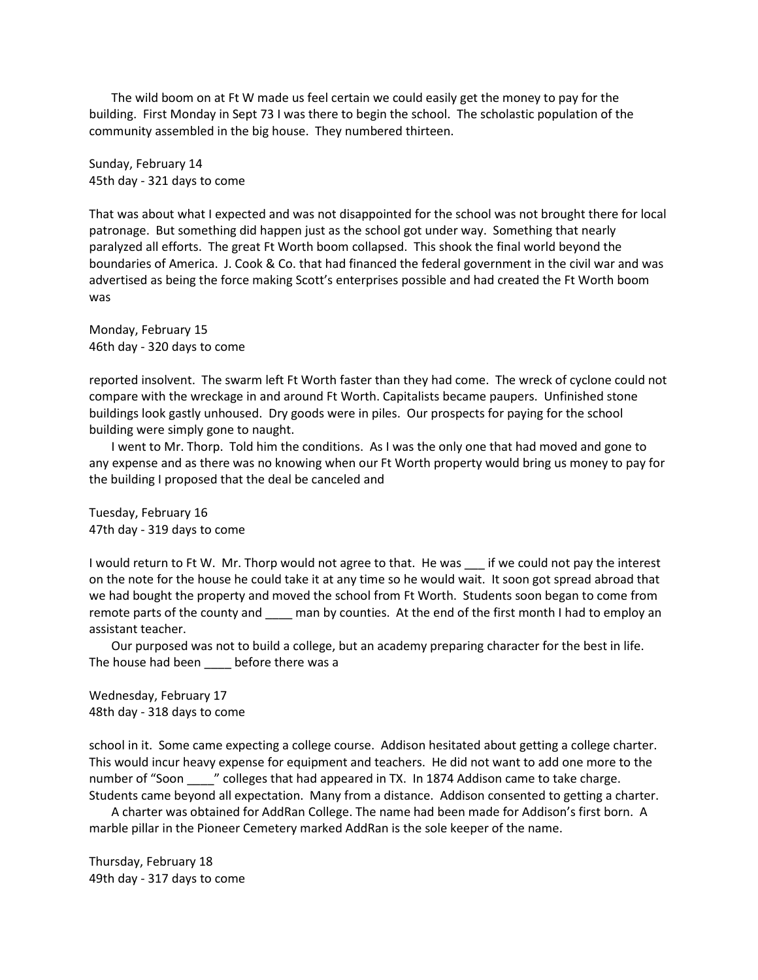The wild boom on at Ft W made us feel certain we could easily get the money to pay for the building. First Monday in Sept 73 I was there to begin the school. The scholastic population of the community assembled in the big house. They numbered thirteen.

Sunday, February 14 45th day - 321 days to come

That was about what I expected and was not disappointed for the school was not brought there for local patronage. But something did happen just as the school got under way. Something that nearly paralyzed all efforts. The great Ft Worth boom collapsed. This shook the final world beyond the boundaries of America. J. Cook & Co. that had financed the federal government in the civil war and was advertised as being the force making Scott's enterprises possible and had created the Ft Worth boom was

Monday, February 15 46th day - 320 days to come

reported insolvent. The swarm left Ft Worth faster than they had come. The wreck of cyclone could not compare with the wreckage in and around Ft Worth. Capitalists became paupers. Unfinished stone buildings look gastly unhoused. Dry goods were in piles. Our prospects for paying for the school building were simply gone to naught.

I went to Mr. Thorp. Told him the conditions. As I was the only one that had moved and gone to any expense and as there was no knowing when our Ft Worth property would bring us money to pay for the building I proposed that the deal be canceled and

Tuesday, February 16 47th day - 319 days to come

I would return to Ft W. Mr. Thorp would not agree to that. He was \_\_\_ if we could not pay the interest on the note for the house he could take it at any time so he would wait. It soon got spread abroad that we had bought the property and moved the school from Ft Worth. Students soon began to come from remote parts of the county and \_\_\_\_\_ man by counties. At the end of the first month I had to employ an assistant teacher.

Our purposed was not to build a college, but an academy preparing character for the best in life. The house had been before there was a

Wednesday, February 17 48th day - 318 days to come

school in it. Some came expecting a college course. Addison hesitated about getting a college charter. This would incur heavy expense for equipment and teachers. He did not want to add one more to the number of "Soon" " colleges that had appeared in TX. In 1874 Addison came to take charge. Students came beyond all expectation. Many from a distance. Addison consented to getting a charter.

A charter was obtained for AddRan College. The name had been made for Addison's first born. A marble pillar in the Pioneer Cemetery marked AddRan is the sole keeper of the name.

Thursday, February 18 49th day - 317 days to come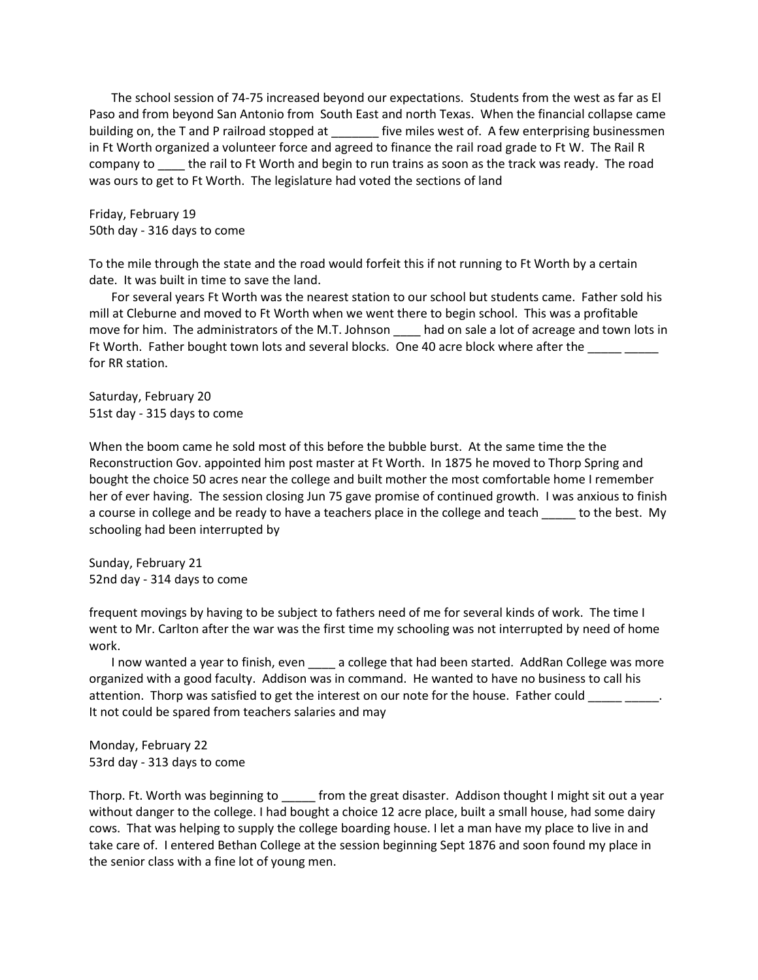The school session of 74-75 increased beyond our expectations. Students from the west as far as El Paso and from beyond San Antonio from South East and north Texas. When the financial collapse came building on, the T and P railroad stopped at \_\_\_\_\_\_\_ five miles west of. A few enterprising businessmen in Ft Worth organized a volunteer force and agreed to finance the rail road grade to Ft W. The Rail R company to the rail to Ft Worth and begin to run trains as soon as the track was ready. The road was ours to get to Ft Worth. The legislature had voted the sections of land

Friday, February 19 50th day - 316 days to come

To the mile through the state and the road would forfeit this if not running to Ft Worth by a certain date. It was built in time to save the land.

For several years Ft Worth was the nearest station to our school but students came. Father sold his mill at Cleburne and moved to Ft Worth when we went there to begin school. This was a profitable move for him. The administrators of the M.T. Johnson \_\_\_\_ had on sale a lot of acreage and town lots in Ft Worth. Father bought town lots and several blocks. One 40 acre block where after the \_\_\_\_\_ \_\_\_\_ for RR station.

Saturday, February 20 51st day - 315 days to come

When the boom came he sold most of this before the bubble burst. At the same time the the Reconstruction Gov. appointed him post master at Ft Worth. In 1875 he moved to Thorp Spring and bought the choice 50 acres near the college and built mother the most comfortable home I remember her of ever having. The session closing Jun 75 gave promise of continued growth. I was anxious to finish a course in college and be ready to have a teachers place in the college and teach to the best. My schooling had been interrupted by

Sunday, February 21 52nd day - 314 days to come

frequent movings by having to be subject to fathers need of me for several kinds of work. The time I went to Mr. Carlton after the war was the first time my schooling was not interrupted by need of home work.

I now wanted a year to finish, even \_\_\_\_ a college that had been started. AddRan College was more organized with a good faculty. Addison was in command. He wanted to have no business to call his attention. Thorp was satisfied to get the interest on our note for the house. Father could It not could be spared from teachers salaries and may

Monday, February 22 53rd day - 313 days to come

Thorp. Ft. Worth was beginning to \_\_\_\_\_ from the great disaster. Addison thought I might sit out a year without danger to the college. I had bought a choice 12 acre place, built a small house, had some dairy cows. That was helping to supply the college boarding house. I let a man have my place to live in and take care of. I entered Bethan College at the session beginning Sept 1876 and soon found my place in the senior class with a fine lot of young men.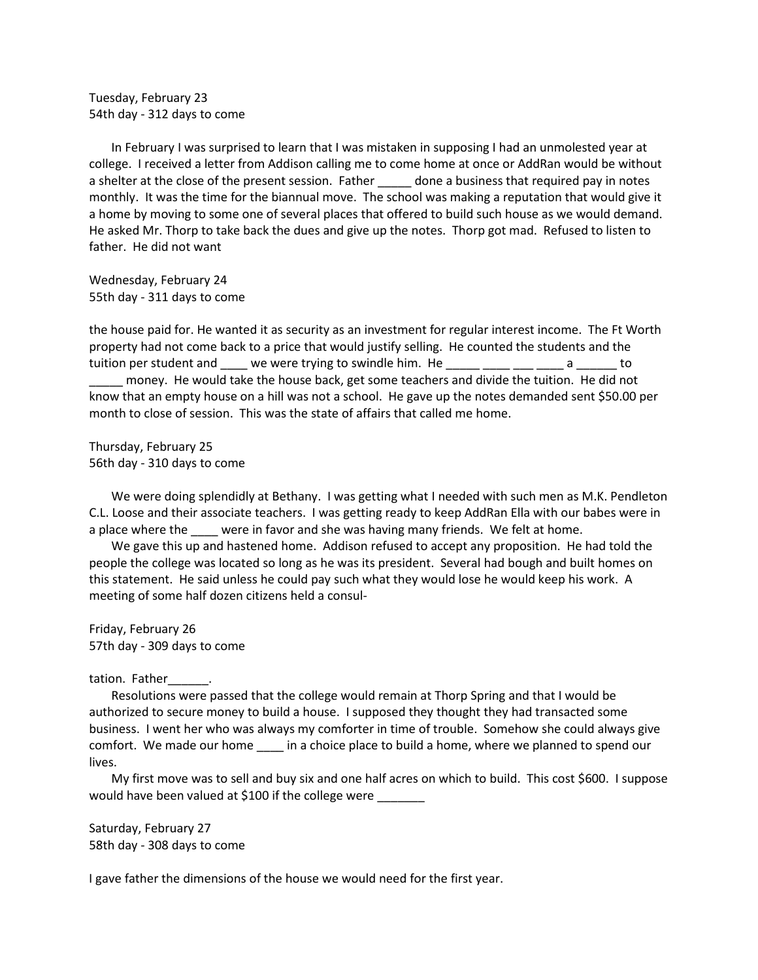Tuesday, February 23 54th day - 312 days to come

In February I was surprised to learn that I was mistaken in supposing I had an unmolested year at college. I received a letter from Addison calling me to come home at once or AddRan would be without a shelter at the close of the present session. Father done a business that required pay in notes monthly. It was the time for the biannual move. The school was making a reputation that would give it a home by moving to some one of several places that offered to build such house as we would demand. He asked Mr. Thorp to take back the dues and give up the notes. Thorp got mad. Refused to listen to father. He did not want

Wednesday, February 24 55th day - 311 days to come

the house paid for. He wanted it as security as an investment for regular interest income. The Ft Worth property had not come back to a price that would justify selling. He counted the students and the tuition per student and  $\Box$  we were trying to swindle him. He  $\Box$  a  $\Box$  to \_\_\_\_\_ money. He would take the house back, get some teachers and divide the tuition. He did not know that an empty house on a hill was not a school. He gave up the notes demanded sent \$50.00 per month to close of session. This was the state of affairs that called me home.

Thursday, February 25 56th day - 310 days to come

We were doing splendidly at Bethany. I was getting what I needed with such men as M.K. Pendleton C.L. Loose and their associate teachers. I was getting ready to keep AddRan Ella with our babes were in a place where the \_\_\_\_ were in favor and she was having many friends. We felt at home.

We gave this up and hastened home. Addison refused to accept any proposition. He had told the people the college was located so long as he was its president. Several had bough and built homes on this statement. He said unless he could pay such what they would lose he would keep his work. A meeting of some half dozen citizens held a consul-

Friday, February 26 57th day - 309 days to come

tation. Father

Resolutions were passed that the college would remain at Thorp Spring and that I would be authorized to secure money to build a house. I supposed they thought they had transacted some business. I went her who was always my comforter in time of trouble. Somehow she could always give comfort. We made our home \_\_\_\_ in a choice place to build a home, where we planned to spend our lives.

My first move was to sell and buy six and one half acres on which to build. This cost \$600. I suppose would have been valued at \$100 if the college were \_\_\_\_\_

Saturday, February 27 58th day - 308 days to come

I gave father the dimensions of the house we would need for the first year.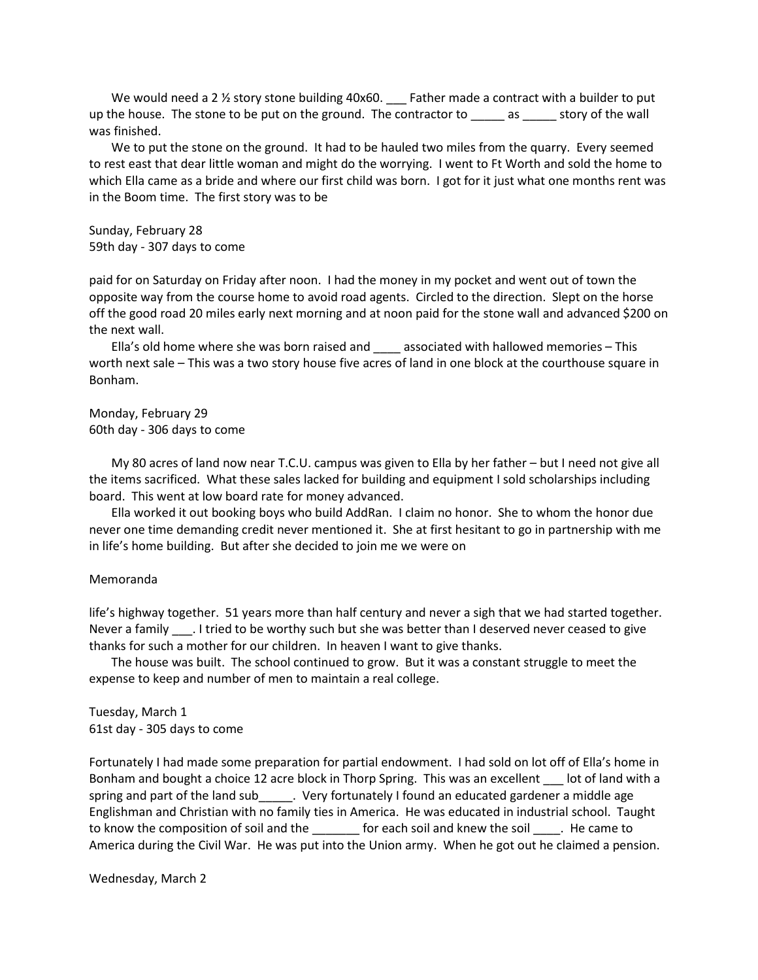We would need a 2 <sup>1/2</sup> story stone building 40x60. \_\_\_ Father made a contract with a builder to put up the house. The stone to be put on the ground. The contractor to \_\_\_\_\_\_ as \_\_\_\_\_\_ story of the wall was finished.

We to put the stone on the ground. It had to be hauled two miles from the quarry. Every seemed to rest east that dear little woman and might do the worrying. I went to Ft Worth and sold the home to which Ella came as a bride and where our first child was born. I got for it just what one months rent was in the Boom time. The first story was to be

Sunday, February 28 59th day - 307 days to come

paid for on Saturday on Friday after noon. I had the money in my pocket and went out of town the opposite way from the course home to avoid road agents. Circled to the direction. Slept on the horse off the good road 20 miles early next morning and at noon paid for the stone wall and advanced \$200 on the next wall.

Ella's old home where she was born raised and \_\_\_\_ associated with hallowed memories - This worth next sale – This was a two story house five acres of land in one block at the courthouse square in Bonham.

Monday, February 29 60th day - 306 days to come

My 80 acres of land now near T.C.U. campus was given to Ella by her father – but I need not give all the items sacrificed. What these sales lacked for building and equipment I sold scholarships including board. This went at low board rate for money advanced.

Ella worked it out booking boys who build AddRan. I claim no honor. She to whom the honor due never one time demanding credit never mentioned it. She at first hesitant to go in partnership with me in life's home building. But after she decided to join me we were on

### Memoranda

life's highway together. 51 years more than half century and never a sigh that we had started together. Never a family . I tried to be worthy such but she was better than I deserved never ceased to give thanks for such a mother for our children. In heaven I want to give thanks.

The house was built. The school continued to grow. But it was a constant struggle to meet the expense to keep and number of men to maintain a real college.

Tuesday, March 1 61st day - 305 days to come

Fortunately I had made some preparation for partial endowment. I had sold on lot off of Ella's home in Bonham and bought a choice 12 acre block in Thorp Spring. This was an excellent \_\_\_ lot of land with a spring and part of the land sub\_\_\_\_\_. Very fortunately I found an educated gardener a middle age Englishman and Christian with no family ties in America. He was educated in industrial school. Taught to know the composition of soil and the each soil and knew the soil and knew the soil and step came to America during the Civil War. He was put into the Union army. When he got out he claimed a pension.

Wednesday, March 2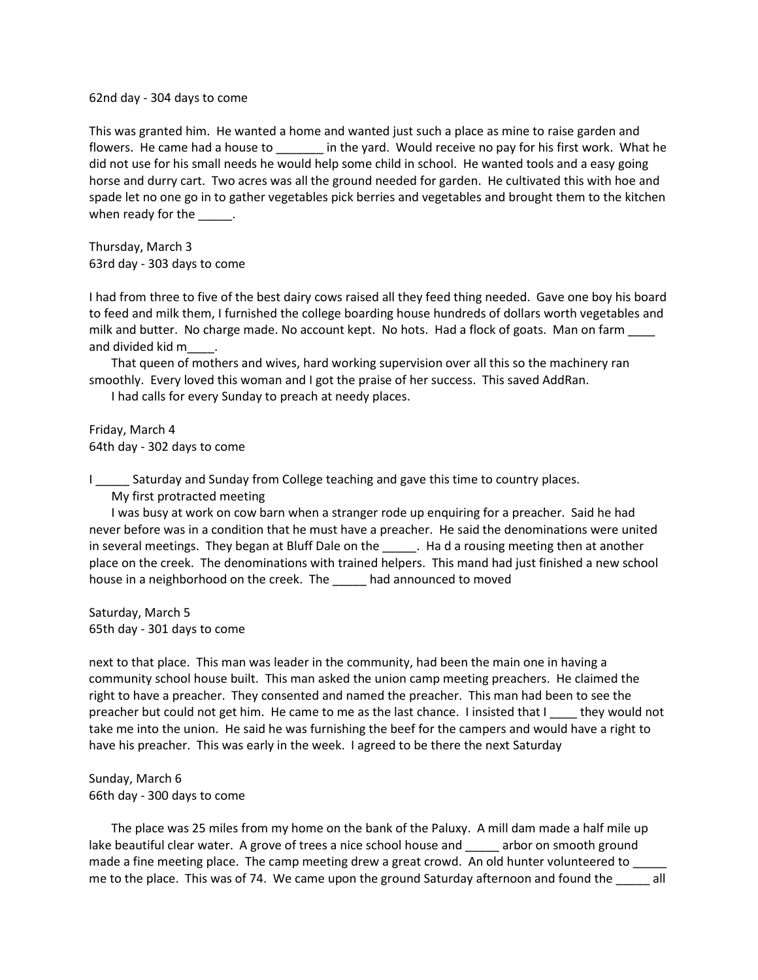62nd day - 304 days to come

This was granted him. He wanted a home and wanted just such a place as mine to raise garden and flowers. He came had a house to \_\_\_\_\_\_\_ in the yard. Would receive no pay for his first work. What he did not use for his small needs he would help some child in school. He wanted tools and a easy going horse and durry cart. Two acres was all the ground needed for garden. He cultivated this with hoe and spade let no one go in to gather vegetables pick berries and vegetables and brought them to the kitchen when ready for the \_\_\_\_\_\_.

Thursday, March 3 63rd day - 303 days to come

I had from three to five of the best dairy cows raised all they feed thing needed. Gave one boy his board to feed and milk them, I furnished the college boarding house hundreds of dollars worth vegetables and milk and butter. No charge made. No account kept. No hots. Had a flock of goats. Man on farm \_\_\_\_ and divided kid m\_\_\_\_.

That queen of mothers and wives, hard working supervision over all this so the machinery ran smoothly. Every loved this woman and I got the praise of her success. This saved AddRan.

I had calls for every Sunday to preach at needy places.

Friday, March 4 64th day - 302 days to come

I \_\_\_\_\_ Saturday and Sunday from College teaching and gave this time to country places.

My first protracted meeting

I was busy at work on cow barn when a stranger rode up enquiring for a preacher. Said he had never before was in a condition that he must have a preacher. He said the denominations were united in several meetings. They began at Bluff Dale on the sumplemental a rousing meeting then at another place on the creek. The denominations with trained helpers. This mand had just finished a new school house in a neighborhood on the creek. The had announced to moved

Saturday, March 5 65th day - 301 days to come

next to that place. This man was leader in the community, had been the main one in having a community school house built. This man asked the union camp meeting preachers. He claimed the right to have a preacher. They consented and named the preacher. This man had been to see the preacher but could not get him. He came to me as the last chance. I insisted that I \_\_\_\_ they would not take me into the union. He said he was furnishing the beef for the campers and would have a right to have his preacher. This was early in the week. I agreed to be there the next Saturday

Sunday, March 6 66th day - 300 days to come

The place was 25 miles from my home on the bank of the Paluxy. A mill dam made a half mile up lake beautiful clear water. A grove of trees a nice school house and arbor on smooth ground made a fine meeting place. The camp meeting drew a great crowd. An old hunter volunteered to \_\_\_ me to the place. This was of 74. We came upon the ground Saturday afternoon and found the all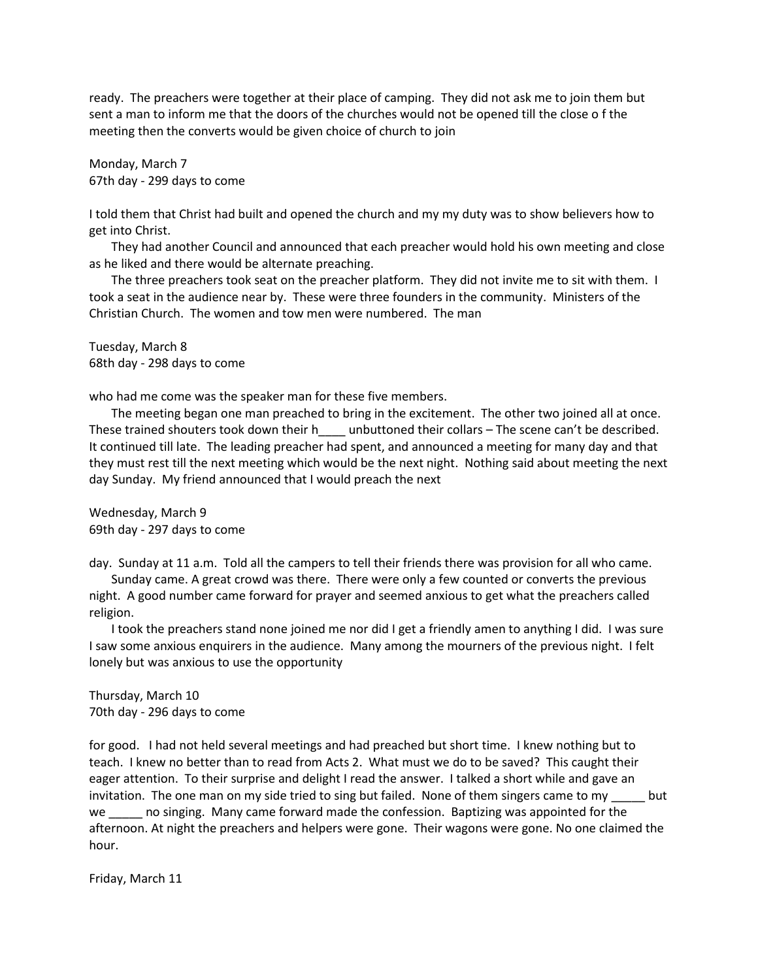ready. The preachers were together at their place of camping. They did not ask me to join them but sent a man to inform me that the doors of the churches would not be opened till the close o f the meeting then the converts would be given choice of church to join

Monday, March 7 67th day - 299 days to come

I told them that Christ had built and opened the church and my my duty was to show believers how to get into Christ.

They had another Council and announced that each preacher would hold his own meeting and close as he liked and there would be alternate preaching.

The three preachers took seat on the preacher platform. They did not invite me to sit with them. I took a seat in the audience near by. These were three founders in the community. Ministers of the Christian Church. The women and tow men were numbered. The man

Tuesday, March 8 68th day - 298 days to come

who had me come was the speaker man for these five members.

The meeting began one man preached to bring in the excitement. The other two joined all at once. These trained shouters took down their heta unbuttoned their collars – The scene can't be described. It continued till late. The leading preacher had spent, and announced a meeting for many day and that they must rest till the next meeting which would be the next night. Nothing said about meeting the next day Sunday. My friend announced that I would preach the next

Wednesday, March 9 69th day - 297 days to come

day. Sunday at 11 a.m. Told all the campers to tell their friends there was provision for all who came.

Sunday came. A great crowd was there. There were only a few counted or converts the previous night. A good number came forward for prayer and seemed anxious to get what the preachers called religion.

I took the preachers stand none joined me nor did I get a friendly amen to anything I did. I was sure I saw some anxious enquirers in the audience. Many among the mourners of the previous night. I felt lonely but was anxious to use the opportunity

Thursday, March 10 70th day - 296 days to come

for good. I had not held several meetings and had preached but short time. I knew nothing but to teach. I knew no better than to read from Acts 2. What must we do to be saved? This caught their eager attention. To their surprise and delight I read the answer. I talked a short while and gave an invitation. The one man on my side tried to sing but failed. None of them singers came to my \_\_\_\_\_ but we a lost no singing. Many came forward made the confession. Baptizing was appointed for the afternoon. At night the preachers and helpers were gone. Their wagons were gone. No one claimed the hour.

Friday, March 11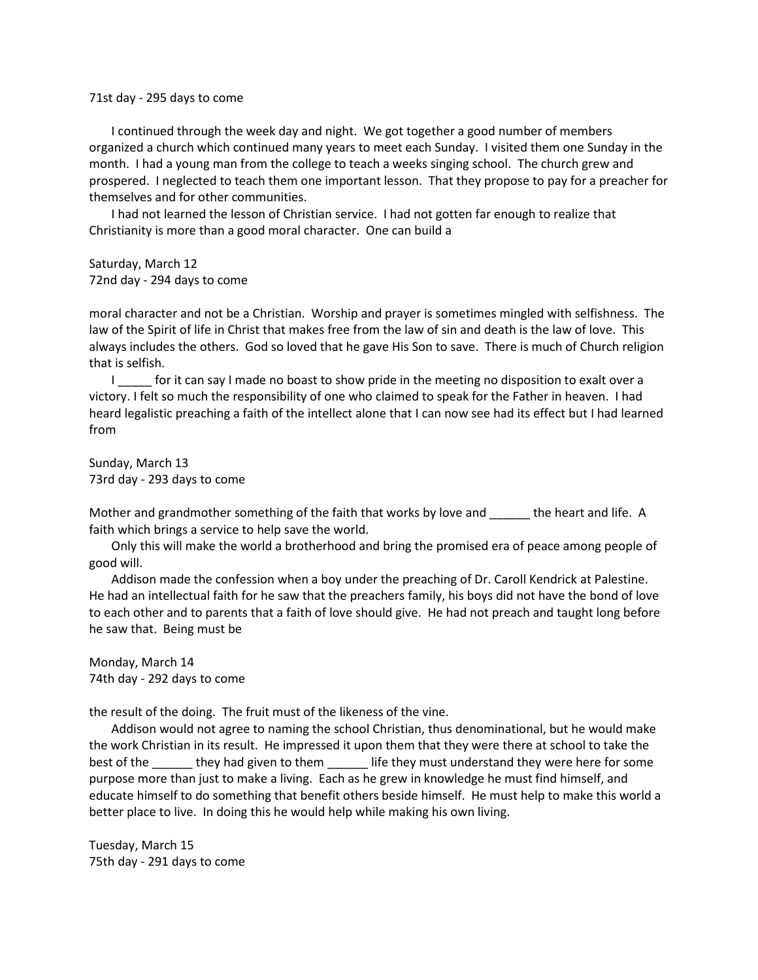71st day - 295 days to come

I continued through the week day and night. We got together a good number of members organized a church which continued many years to meet each Sunday. I visited them one Sunday in the month. I had a young man from the college to teach a weeks singing school. The church grew and prospered. I neglected to teach them one important lesson. That they propose to pay for a preacher for themselves and for other communities.

I had not learned the lesson of Christian service. I had not gotten far enough to realize that Christianity is more than a good moral character. One can build a

Saturday, March 12 72nd day - 294 days to come

moral character and not be a Christian. Worship and prayer is sometimes mingled with selfishness. The law of the Spirit of life in Christ that makes free from the law of sin and death is the law of love. This always includes the others. God so loved that he gave His Son to save. There is much of Church religion that is selfish.

I solution on the can say I made no boast to show pride in the meeting no disposition to exalt over a victory. I felt so much the responsibility of one who claimed to speak for the Father in heaven. I had heard legalistic preaching a faith of the intellect alone that I can now see had its effect but I had learned from

Sunday, March 13 73rd day - 293 days to come

Mother and grandmother something of the faith that works by love and the heart and life. A faith which brings a service to help save the world.

Only this will make the world a brotherhood and bring the promised era of peace among people of good will.

Addison made the confession when a boy under the preaching of Dr. Caroll Kendrick at Palestine. He had an intellectual faith for he saw that the preachers family, his boys did not have the bond of love to each other and to parents that a faith of love should give. He had not preach and taught long before he saw that. Being must be

Monday, March 14 74th day - 292 days to come

the result of the doing. The fruit must of the likeness of the vine.

Addison would not agree to naming the school Christian, thus denominational, but he would make the work Christian in its result. He impressed it upon them that they were there at school to take the best of the \_\_\_\_\_\_\_ they had given to them \_\_\_\_\_\_\_ life they must understand they were here for some purpose more than just to make a living. Each as he grew in knowledge he must find himself, and educate himself to do something that benefit others beside himself. He must help to make this world a better place to live. In doing this he would help while making his own living.

Tuesday, March 15 75th day - 291 days to come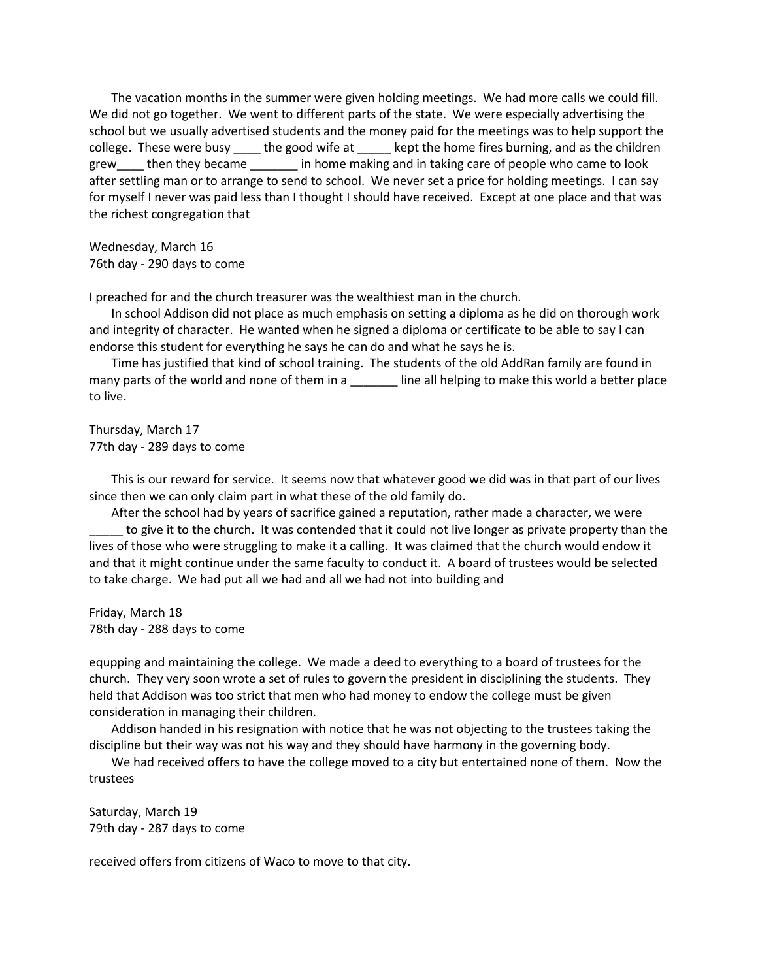The vacation months in the summer were given holding meetings. We had more calls we could fill. We did not go together. We went to different parts of the state. We were especially advertising the school but we usually advertised students and the money paid for the meetings was to help support the college. These were busy \_\_\_\_ the good wife at \_\_\_\_\_ kept the home fires burning, and as the children grew then they became in home making and in taking care of people who came to look after settling man or to arrange to send to school. We never set a price for holding meetings. I can say for myself I never was paid less than I thought I should have received. Except at one place and that was the richest congregation that

Wednesday, March 16 76th day - 290 days to come

I preached for and the church treasurer was the wealthiest man in the church.

In school Addison did not place as much emphasis on setting a diploma as he did on thorough work and integrity of character. He wanted when he signed a diploma or certificate to be able to say I can endorse this student for everything he says he can do and what he says he is.

Time has justified that kind of school training. The students of the old AddRan family are found in many parts of the world and none of them in a \_\_\_\_\_\_\_ line all helping to make this world a better place to live.

Thursday, March 17 77th day - 289 days to come

This is our reward for service. It seems now that whatever good we did was in that part of our lives since then we can only claim part in what these of the old family do.

After the school had by years of sacrifice gained a reputation, rather made a character, we were to give it to the church. It was contended that it could not live longer as private property than the lives of those who were struggling to make it a calling. It was claimed that the church would endow it and that it might continue under the same faculty to conduct it. A board of trustees would be selected to take charge. We had put all we had and all we had not into building and

Friday, March 18 78th day - 288 days to come

equpping and maintaining the college. We made a deed to everything to a board of trustees for the church. They very soon wrote a set of rules to govern the president in disciplining the students. They held that Addison was too strict that men who had money to endow the college must be given consideration in managing their children.

Addison handed in his resignation with notice that he was not objecting to the trustees taking the discipline but their way was not his way and they should have harmony in the governing body.

We had received offers to have the college moved to a city but entertained none of them. Now the trustees

Saturday, March 19 79th day - 287 days to come

received offers from citizens of Waco to move to that city.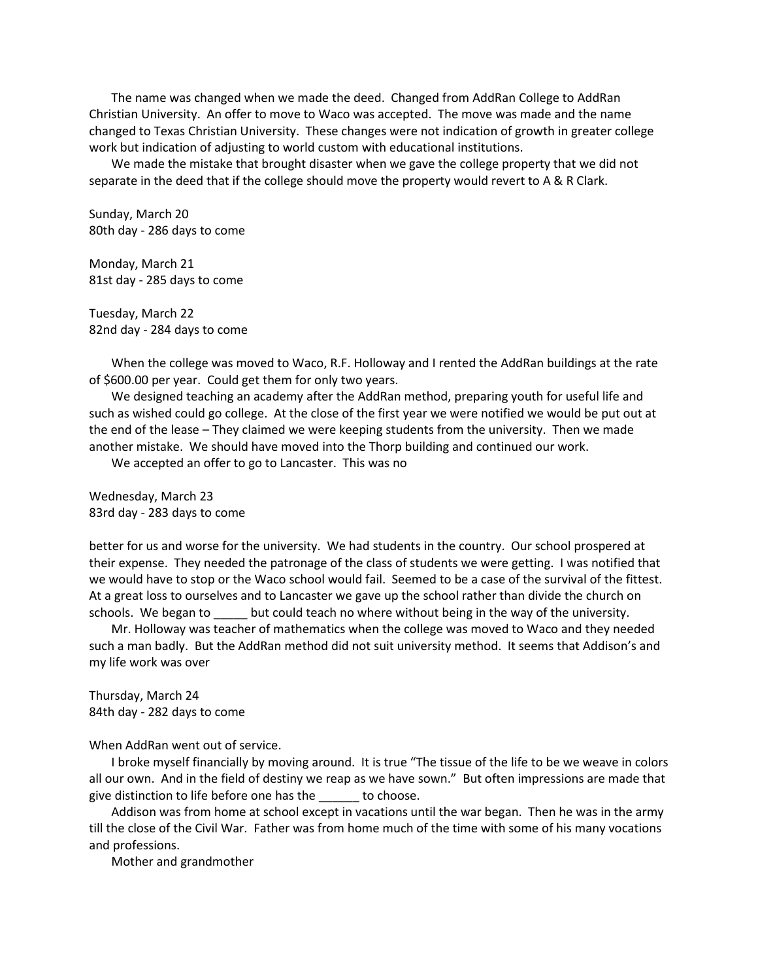The name was changed when we made the deed. Changed from AddRan College to AddRan Christian University. An offer to move to Waco was accepted. The move was made and the name changed to Texas Christian University. These changes were not indication of growth in greater college work but indication of adjusting to world custom with educational institutions.

We made the mistake that brought disaster when we gave the college property that we did not separate in the deed that if the college should move the property would revert to A & R Clark.

Sunday, March 20 80th day - 286 days to come

Monday, March 21 81st day - 285 days to come

Tuesday, March 22 82nd day - 284 days to come

When the college was moved to Waco, R.F. Holloway and I rented the AddRan buildings at the rate of \$600.00 per year. Could get them for only two years.

We designed teaching an academy after the AddRan method, preparing youth for useful life and such as wished could go college. At the close of the first year we were notified we would be put out at the end of the lease – They claimed we were keeping students from the university. Then we made another mistake. We should have moved into the Thorp building and continued our work.

We accepted an offer to go to Lancaster. This was no

Wednesday, March 23 83rd day - 283 days to come

better for us and worse for the university. We had students in the country. Our school prospered at their expense. They needed the patronage of the class of students we were getting. I was notified that we would have to stop or the Waco school would fail. Seemed to be a case of the survival of the fittest. At a great loss to ourselves and to Lancaster we gave up the school rather than divide the church on schools. We began to \_\_\_\_\_ but could teach no where without being in the way of the university.

Mr. Holloway was teacher of mathematics when the college was moved to Waco and they needed such a man badly. But the AddRan method did not suit university method. It seems that Addison's and my life work was over

Thursday, March 24 84th day - 282 days to come

When AddRan went out of service.

I broke myself financially by moving around. It is true "The tissue of the life to be we weave in colors all our own. And in the field of destiny we reap as we have sown." But often impressions are made that give distinction to life before one has the \_\_\_\_\_\_ to choose.

Addison was from home at school except in vacations until the war began. Then he was in the army till the close of the Civil War. Father was from home much of the time with some of his many vocations and professions.

Mother and grandmother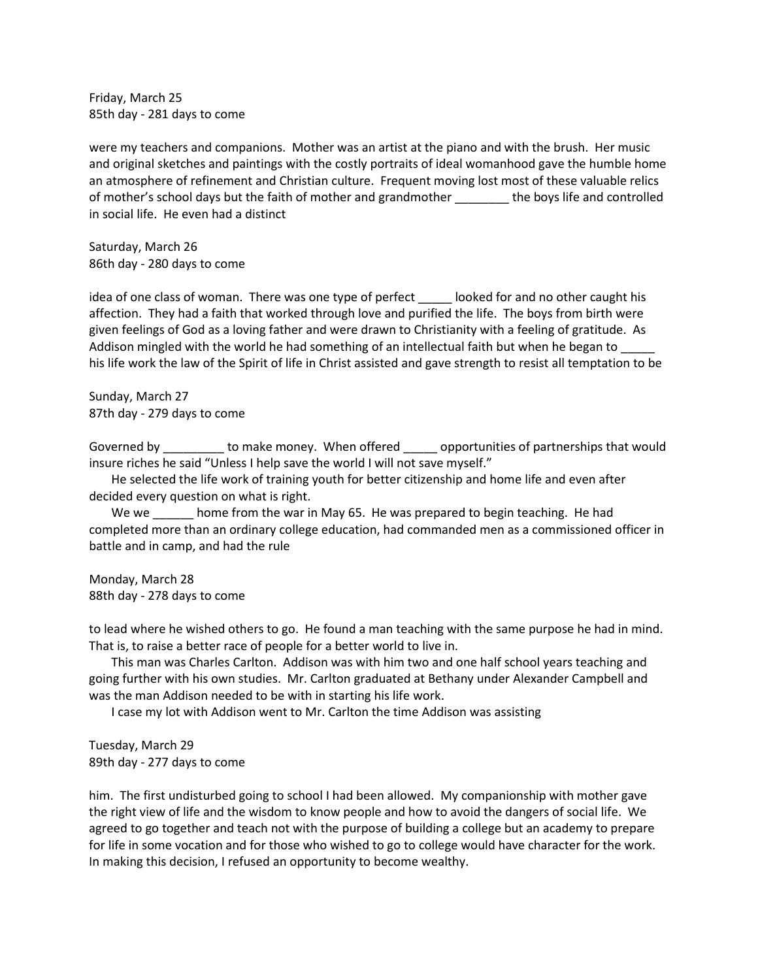Friday, March 25 85th day - 281 days to come

were my teachers and companions. Mother was an artist at the piano and with the brush. Her music and original sketches and paintings with the costly portraits of ideal womanhood gave the humble home an atmosphere of refinement and Christian culture. Frequent moving lost most of these valuable relics of mother's school days but the faith of mother and grandmother \_\_\_\_\_\_\_\_ the boys life and controlled in social life. He even had a distinct

Saturday, March 26 86th day - 280 days to come

idea of one class of woman. There was one type of perfect \_\_\_\_\_ looked for and no other caught his affection. They had a faith that worked through love and purified the life. The boys from birth were given feelings of God as a loving father and were drawn to Christianity with a feeling of gratitude. As Addison mingled with the world he had something of an intellectual faith but when he began to his life work the law of the Spirit of life in Christ assisted and gave strength to resist all temptation to be

Sunday, March 27 87th day - 279 days to come

Governed by \_\_\_\_\_\_\_\_\_\_ to make money. When offered \_\_\_\_\_\_\_ opportunities of partnerships that would insure riches he said "Unless I help save the world I will not save myself."

He selected the life work of training youth for better citizenship and home life and even after decided every question on what is right.

We we home from the war in May 65. He was prepared to begin teaching. He had completed more than an ordinary college education, had commanded men as a commissioned officer in battle and in camp, and had the rule

Monday, March 28 88th day - 278 days to come

to lead where he wished others to go. He found a man teaching with the same purpose he had in mind. That is, to raise a better race of people for a better world to live in.

This man was Charles Carlton. Addison was with him two and one half school years teaching and going further with his own studies. Mr. Carlton graduated at Bethany under Alexander Campbell and was the man Addison needed to be with in starting his life work.

I case my lot with Addison went to Mr. Carlton the time Addison was assisting

Tuesday, March 29 89th day - 277 days to come

him. The first undisturbed going to school I had been allowed. My companionship with mother gave the right view of life and the wisdom to know people and how to avoid the dangers of social life. We agreed to go together and teach not with the purpose of building a college but an academy to prepare for life in some vocation and for those who wished to go to college would have character for the work. In making this decision, I refused an opportunity to become wealthy.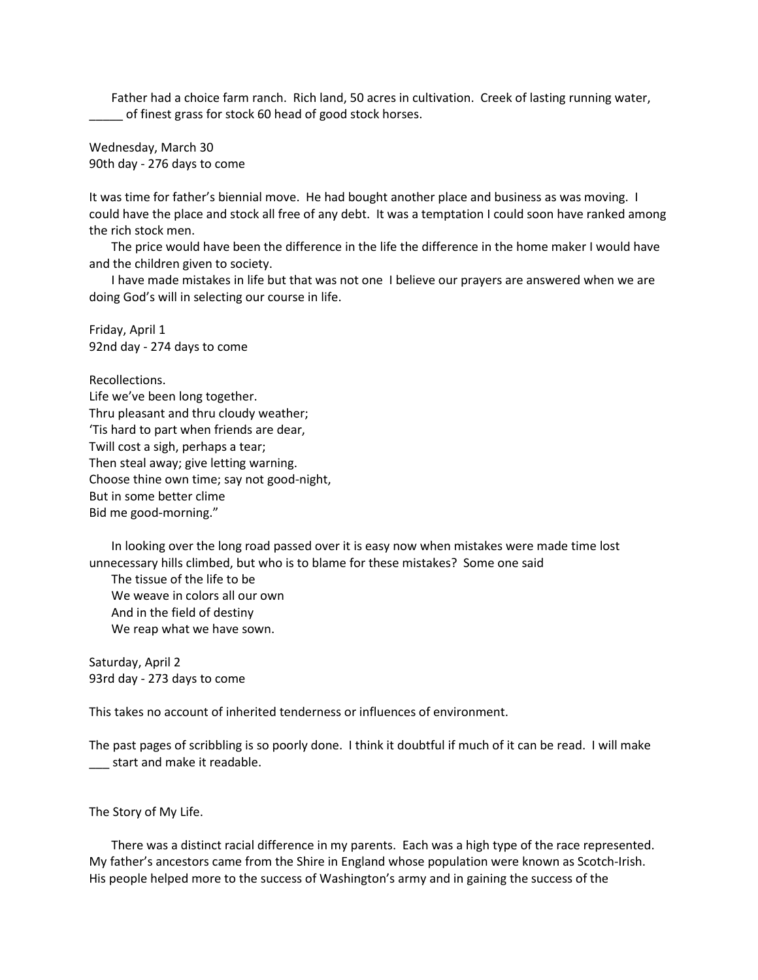Father had a choice farm ranch. Rich land, 50 acres in cultivation. Creek of lasting running water, \_\_\_\_\_ of finest grass for stock 60 head of good stock horses.

Wednesday, March 30 90th day - 276 days to come

It was time for father's biennial move. He had bought another place and business as was moving. I could have the place and stock all free of any debt. It was a temptation I could soon have ranked among the rich stock men.

The price would have been the difference in the life the difference in the home maker I would have and the children given to society.

I have made mistakes in life but that was not one I believe our prayers are answered when we are doing God's will in selecting our course in life.

Friday, April 1 92nd day - 274 days to come

Recollections. Life we've been long together. Thru pleasant and thru cloudy weather; 'Tis hard to part when friends are dear, Twill cost a sigh, perhaps a tear; Then steal away; give letting warning. Choose thine own time; say not good-night, But in some better clime Bid me good-morning."

In looking over the long road passed over it is easy now when mistakes were made time lost unnecessary hills climbed, but who is to blame for these mistakes? Some one said

The tissue of the life to be We weave in colors all our own And in the field of destiny We reap what we have sown.

Saturday, April 2 93rd day - 273 days to come

This takes no account of inherited tenderness or influences of environment.

The past pages of scribbling is so poorly done. I think it doubtful if much of it can be read. I will make \_\_\_ start and make it readable.

The Story of My Life.

There was a distinct racial difference in my parents. Each was a high type of the race represented. My father's ancestors came from the Shire in England whose population were known as Scotch-Irish. His people helped more to the success of Washington's army and in gaining the success of the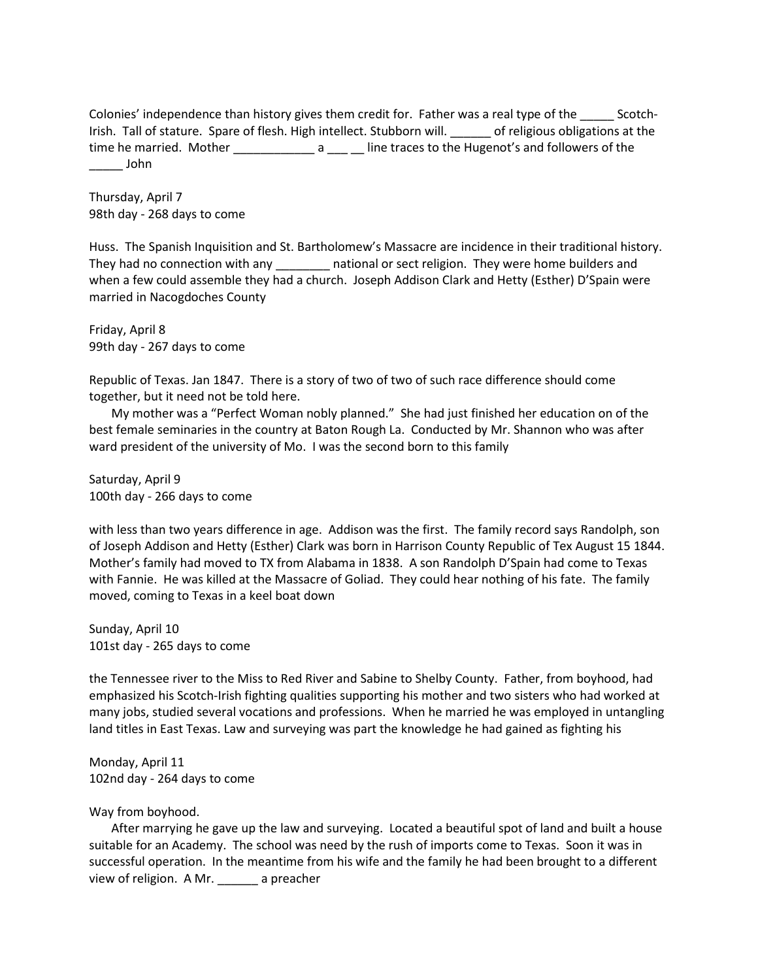Colonies' independence than history gives them credit for. Father was a real type of the \_\_\_\_\_ Scotch-Irish. Tall of stature. Spare of flesh. High intellect. Stubborn will. \_\_\_\_\_\_ of religious obligations at the time he married. Mother \_\_\_\_\_\_\_\_\_\_\_\_\_\_\_ a \_\_\_\_\_\_ line traces to the Hugenot's and followers of the \_\_\_\_\_ John

Thursday, April 7 98th day - 268 days to come

Huss. The Spanish Inquisition and St. Bartholomew's Massacre are incidence in their traditional history. They had no connection with any \_\_\_\_\_\_\_\_ national or sect religion. They were home builders and when a few could assemble they had a church. Joseph Addison Clark and Hetty (Esther) D'Spain were married in Nacogdoches County

Friday, April 8 99th day - 267 days to come

Republic of Texas. Jan 1847. There is a story of two of two of such race difference should come together, but it need not be told here.

My mother was a "Perfect Woman nobly planned." She had just finished her education on of the best female seminaries in the country at Baton Rough La. Conducted by Mr. Shannon who was after ward president of the university of Mo. I was the second born to this family

Saturday, April 9 100th day - 266 days to come

with less than two years difference in age. Addison was the first. The family record says Randolph, son of Joseph Addison and Hetty (Esther) Clark was born in Harrison County Republic of Tex August 15 1844. Mother's family had moved to TX from Alabama in 1838. A son Randolph D'Spain had come to Texas with Fannie. He was killed at the Massacre of Goliad. They could hear nothing of his fate. The family moved, coming to Texas in a keel boat down

Sunday, April 10 101st day - 265 days to come

the Tennessee river to the Miss to Red River and Sabine to Shelby County. Father, from boyhood, had emphasized his Scotch-Irish fighting qualities supporting his mother and two sisters who had worked at many jobs, studied several vocations and professions. When he married he was employed in untangling land titles in East Texas. Law and surveying was part the knowledge he had gained as fighting his

Monday, April 11 102nd day - 264 days to come

## Way from boyhood.

After marrying he gave up the law and surveying. Located a beautiful spot of land and built a house suitable for an Academy. The school was need by the rush of imports come to Texas. Soon it was in successful operation. In the meantime from his wife and the family he had been brought to a different view of religion. A Mr. \_\_\_\_\_\_ a preacher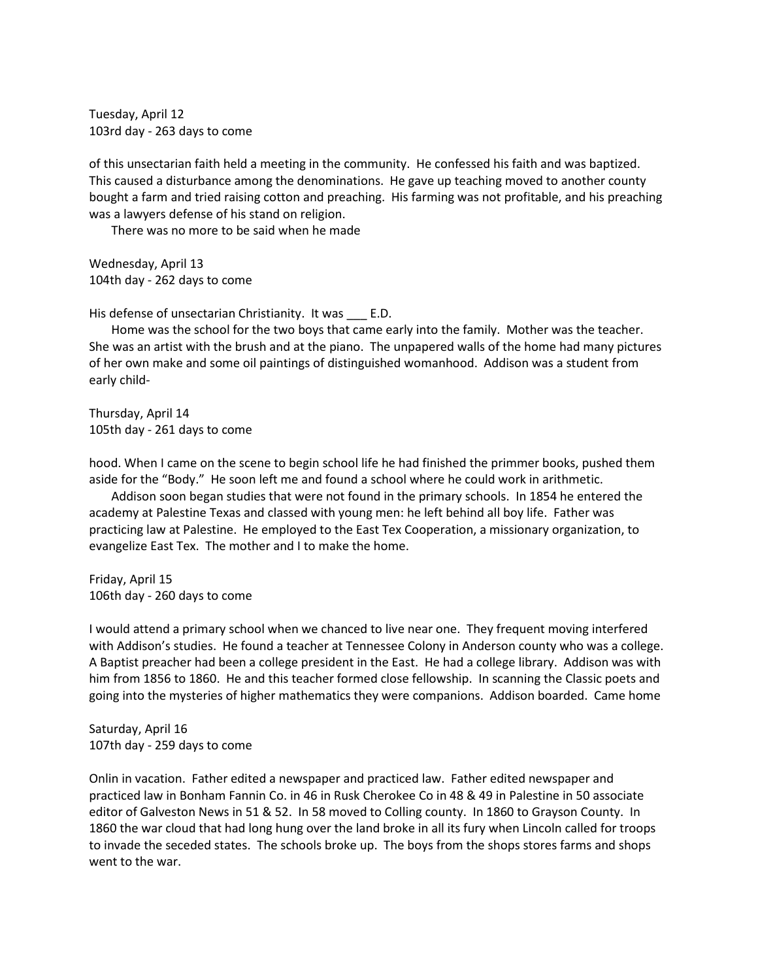Tuesday, April 12 103rd day - 263 days to come

of this unsectarian faith held a meeting in the community. He confessed his faith and was baptized. This caused a disturbance among the denominations. He gave up teaching moved to another county bought a farm and tried raising cotton and preaching. His farming was not profitable, and his preaching was a lawyers defense of his stand on religion.

There was no more to be said when he made

Wednesday, April 13 104th day - 262 days to come

His defense of unsectarian Christianity. It was E.D.

Home was the school for the two boys that came early into the family. Mother was the teacher. She was an artist with the brush and at the piano. The unpapered walls of the home had many pictures of her own make and some oil paintings of distinguished womanhood. Addison was a student from early child-

Thursday, April 14 105th day - 261 days to come

hood. When I came on the scene to begin school life he had finished the primmer books, pushed them aside for the "Body." He soon left me and found a school where he could work in arithmetic.

Addison soon began studies that were not found in the primary schools. In 1854 he entered the academy at Palestine Texas and classed with young men: he left behind all boy life. Father was practicing law at Palestine. He employed to the East Tex Cooperation, a missionary organization, to evangelize East Tex. The mother and I to make the home.

Friday, April 15 106th day - 260 days to come

I would attend a primary school when we chanced to live near one. They frequent moving interfered with Addison's studies. He found a teacher at Tennessee Colony in Anderson county who was a college. A Baptist preacher had been a college president in the East. He had a college library. Addison was with him from 1856 to 1860. He and this teacher formed close fellowship. In scanning the Classic poets and going into the mysteries of higher mathematics they were companions. Addison boarded. Came home

Saturday, April 16 107th day - 259 days to come

Onlin in vacation. Father edited a newspaper and practiced law. Father edited newspaper and practiced law in Bonham Fannin Co. in 46 in Rusk Cherokee Co in 48 & 49 in Palestine in 50 associate editor of Galveston News in 51 & 52. In 58 moved to Colling county. In 1860 to Grayson County. In 1860 the war cloud that had long hung over the land broke in all its fury when Lincoln called for troops to invade the seceded states. The schools broke up. The boys from the shops stores farms and shops went to the war.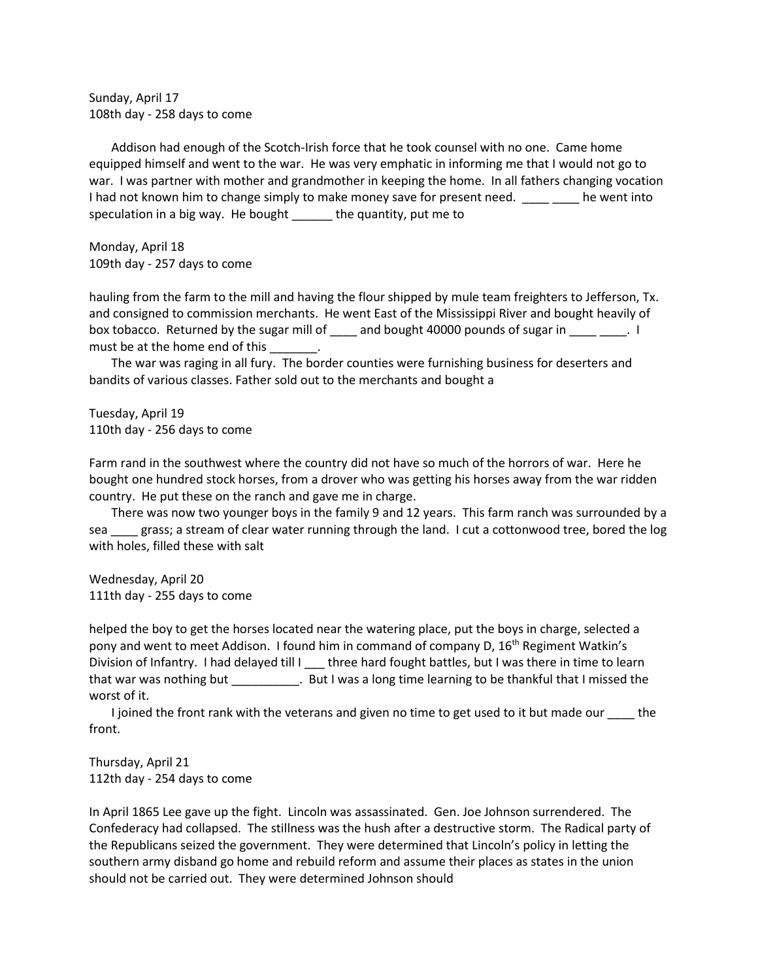Sunday, April 17 108th day - 258 days to come

Addison had enough of the Scotch-Irish force that he took counsel with no one. Came home equipped himself and went to the war. He was very emphatic in informing me that I would not go to war. I was partner with mother and grandmother in keeping the home. In all fathers changing vocation I had not known him to change simply to make money save for present need. The went into speculation in a big way. He bought \_\_\_\_\_\_ the quantity, put me to

Monday, April 18 109th day - 257 days to come

hauling from the farm to the mill and having the flour shipped by mule team freighters to Jefferson, Tx. and consigned to commission merchants. He went East of the Mississippi River and bought heavily of box tobacco. Returned by the sugar mill of \_\_\_\_ and bought 40000 pounds of sugar in \_\_\_\_ \_\_\_\_. I must be at the home end of this \_\_\_\_\_\_\_.

The war was raging in all fury. The border counties were furnishing business for deserters and bandits of various classes. Father sold out to the merchants and bought a

Tuesday, April 19 110th day - 256 days to come

Farm rand in the southwest where the country did not have so much of the horrors of war. Here he bought one hundred stock horses, from a drover who was getting his horses away from the war ridden country. He put these on the ranch and gave me in charge.

There was now two younger boys in the family 9 and 12 years. This farm ranch was surrounded by a sea search grass; a stream of clear water running through the land. I cut a cottonwood tree, bored the log with holes, filled these with salt

Wednesday, April 20 111th day - 255 days to come

helped the boy to get the horses located near the watering place, put the boys in charge, selected a pony and went to meet Addison. I found him in command of company D, 16<sup>th</sup> Regiment Watkin's Division of Infantry. I had delayed till I three hard fought battles, but I was there in time to learn that war was nothing but \_\_\_\_\_\_\_\_\_\_. But I was a long time learning to be thankful that I missed the worst of it.

I joined the front rank with the veterans and given no time to get used to it but made our the front.

Thursday, April 21 112th day - 254 days to come

In April 1865 Lee gave up the fight. Lincoln was assassinated. Gen. Joe Johnson surrendered. The Confederacy had collapsed. The stillness was the hush after a destructive storm. The Radical party of the Republicans seized the government. They were determined that Lincoln's policy in letting the southern army disband go home and rebuild reform and assume their places as states in the union should not be carried out. They were determined Johnson should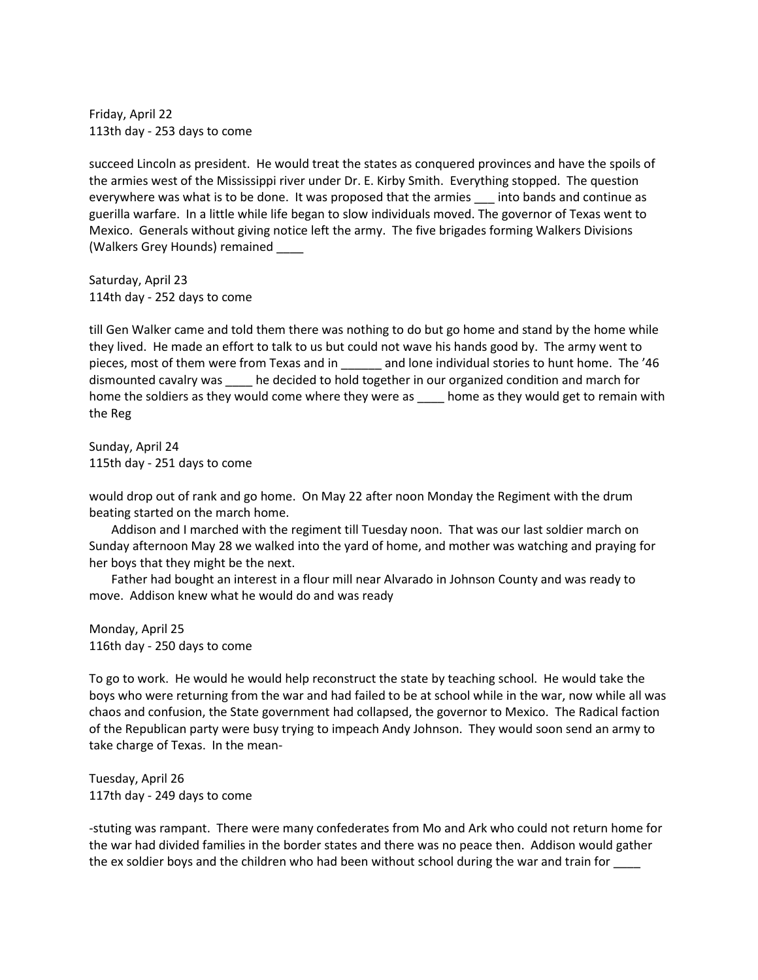Friday, April 22 113th day - 253 days to come

succeed Lincoln as president. He would treat the states as conquered provinces and have the spoils of the armies west of the Mississippi river under Dr. E. Kirby Smith. Everything stopped. The question everywhere was what is to be done. It was proposed that the armies into bands and continue as guerilla warfare. In a little while life began to slow individuals moved. The governor of Texas went to Mexico. Generals without giving notice left the army. The five brigades forming Walkers Divisions (Walkers Grey Hounds) remained \_\_\_\_

Saturday, April 23 114th day - 252 days to come

till Gen Walker came and told them there was nothing to do but go home and stand by the home while they lived. He made an effort to talk to us but could not wave his hands good by. The army went to pieces, most of them were from Texas and in \_\_\_\_\_\_ and lone individual stories to hunt home. The '46 dismounted cavalry was \_\_\_\_ he decided to hold together in our organized condition and march for home the soldiers as they would come where they were as \_\_\_\_\_ home as they would get to remain with the Reg

Sunday, April 24 115th day - 251 days to come

would drop out of rank and go home. On May 22 after noon Monday the Regiment with the drum beating started on the march home.

Addison and I marched with the regiment till Tuesday noon. That was our last soldier march on Sunday afternoon May 28 we walked into the yard of home, and mother was watching and praying for her boys that they might be the next.

Father had bought an interest in a flour mill near Alvarado in Johnson County and was ready to move. Addison knew what he would do and was ready

Monday, April 25 116th day - 250 days to come

To go to work. He would he would help reconstruct the state by teaching school. He would take the boys who were returning from the war and had failed to be at school while in the war, now while all was chaos and confusion, the State government had collapsed, the governor to Mexico. The Radical faction of the Republican party were busy trying to impeach Andy Johnson. They would soon send an army to take charge of Texas. In the mean-

Tuesday, April 26 117th day - 249 days to come

-stuting was rampant. There were many confederates from Mo and Ark who could not return home for the war had divided families in the border states and there was no peace then. Addison would gather the ex soldier boys and the children who had been without school during the war and train for \_\_\_\_\_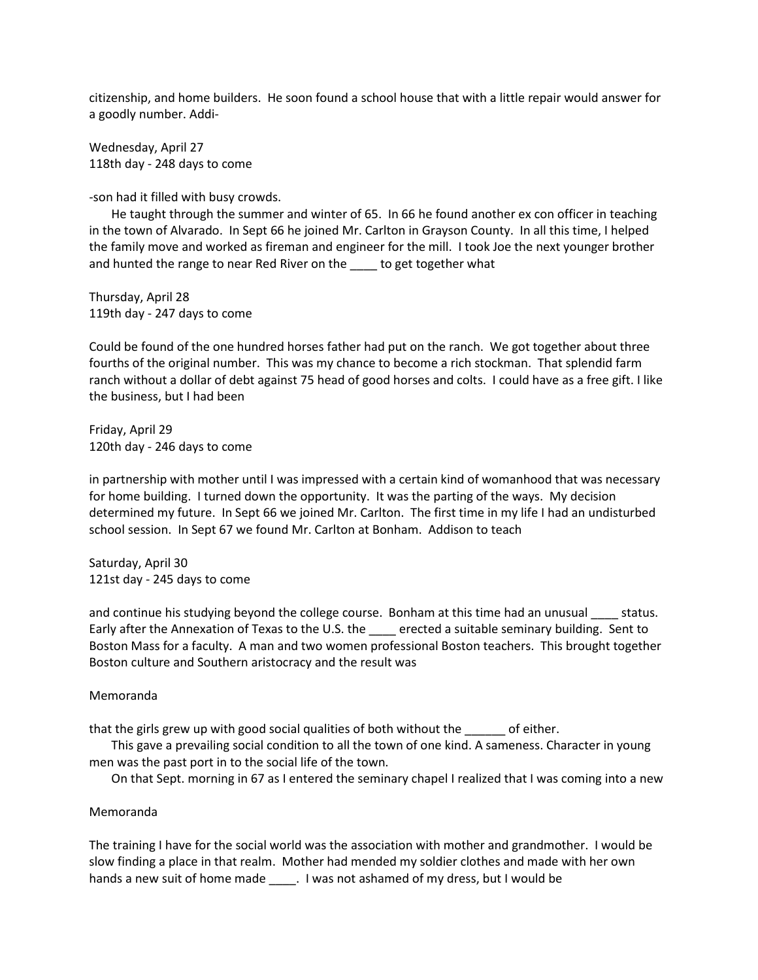citizenship, and home builders. He soon found a school house that with a little repair would answer for a goodly number. Addi-

Wednesday, April 27 118th day - 248 days to come

-son had it filled with busy crowds.

He taught through the summer and winter of 65. In 66 he found another ex con officer in teaching in the town of Alvarado. In Sept 66 he joined Mr. Carlton in Grayson County. In all this time, I helped the family move and worked as fireman and engineer for the mill. I took Joe the next younger brother and hunted the range to near Red River on the \_\_\_\_ to get together what

Thursday, April 28 119th day - 247 days to come

Could be found of the one hundred horses father had put on the ranch. We got together about three fourths of the original number. This was my chance to become a rich stockman. That splendid farm ranch without a dollar of debt against 75 head of good horses and colts. I could have as a free gift. I like the business, but I had been

Friday, April 29 120th day - 246 days to come

in partnership with mother until I was impressed with a certain kind of womanhood that was necessary for home building. I turned down the opportunity. It was the parting of the ways. My decision determined my future. In Sept 66 we joined Mr. Carlton. The first time in my life I had an undisturbed school session. In Sept 67 we found Mr. Carlton at Bonham. Addison to teach

Saturday, April 30 121st day - 245 days to come

and continue his studying beyond the college course. Bonham at this time had an unusual status. Early after the Annexation of Texas to the U.S. the semicated a suitable seminary building. Sent to Boston Mass for a faculty. A man and two women professional Boston teachers. This brought together Boston culture and Southern aristocracy and the result was

#### Memoranda

that the girls grew up with good social qualities of both without the only of either.

This gave a prevailing social condition to all the town of one kind. A sameness. Character in young men was the past port in to the social life of the town.

On that Sept. morning in 67 as I entered the seminary chapel I realized that I was coming into a new

#### Memoranda

The training I have for the social world was the association with mother and grandmother. I would be slow finding a place in that realm. Mother had mended my soldier clothes and made with her own hands a new suit of home made \_\_\_\_\_. I was not ashamed of my dress, but I would be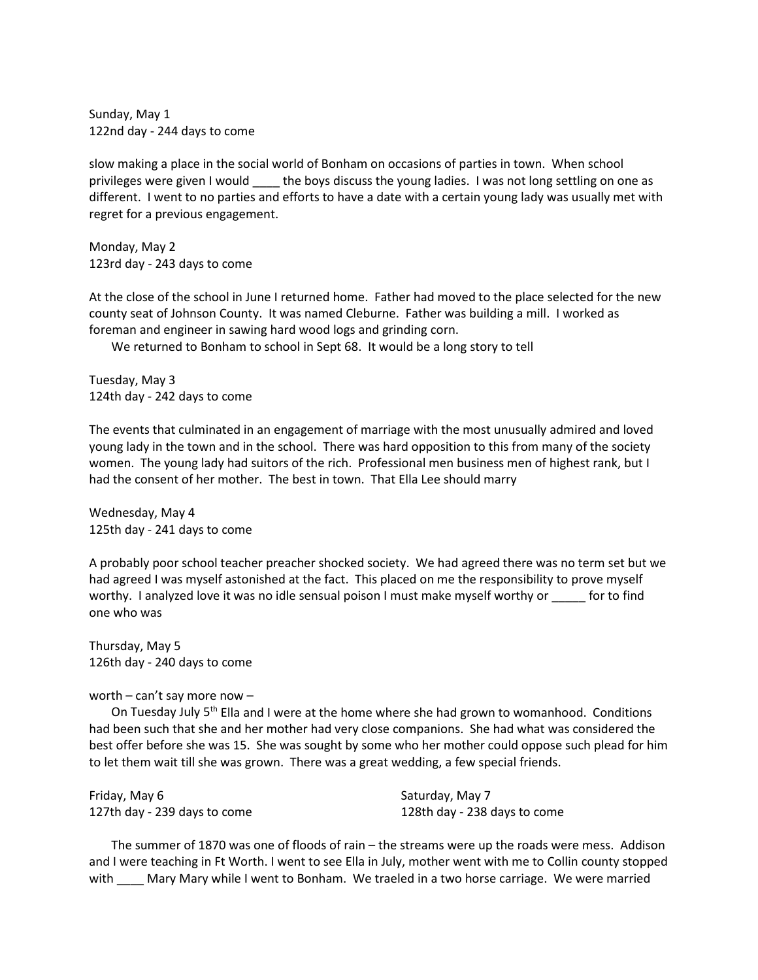Sunday, May 1 122nd day - 244 days to come

slow making a place in the social world of Bonham on occasions of parties in town. When school privileges were given I would \_\_\_\_ the boys discuss the young ladies. I was not long settling on one as different. I went to no parties and efforts to have a date with a certain young lady was usually met with regret for a previous engagement.

Monday, May 2 123rd day - 243 days to come

At the close of the school in June I returned home. Father had moved to the place selected for the new county seat of Johnson County. It was named Cleburne. Father was building a mill. I worked as foreman and engineer in sawing hard wood logs and grinding corn.

We returned to Bonham to school in Sept 68. It would be a long story to tell

Tuesday, May 3 124th day - 242 days to come

The events that culminated in an engagement of marriage with the most unusually admired and loved young lady in the town and in the school. There was hard opposition to this from many of the society women. The young lady had suitors of the rich. Professional men business men of highest rank, but I had the consent of her mother. The best in town. That Ella Lee should marry

Wednesday, May 4 125th day - 241 days to come

A probably poor school teacher preacher shocked society. We had agreed there was no term set but we had agreed I was myself astonished at the fact. This placed on me the responsibility to prove myself worthy. I analyzed love it was no idle sensual poison I must make myself worthy or same for to find one who was

Thursday, May 5 126th day - 240 days to come

worth – can't say more now –

On Tuesday July 5<sup>th</sup> Ella and I were at the home where she had grown to womanhood. Conditions had been such that she and her mother had very close companions. She had what was considered the best offer before she was 15. She was sought by some who her mother could oppose such plead for him to let them wait till she was grown. There was a great wedding, a few special friends.

| Friday, May 6                | Saturday, May 7              |
|------------------------------|------------------------------|
| 127th day - 239 days to come | 128th day - 238 days to come |

The summer of 1870 was one of floods of rain – the streams were up the roads were mess. Addison and I were teaching in Ft Worth. I went to see Ella in July, mother went with me to Collin county stopped with Mary Mary while I went to Bonham. We traeled in a two horse carriage. We were married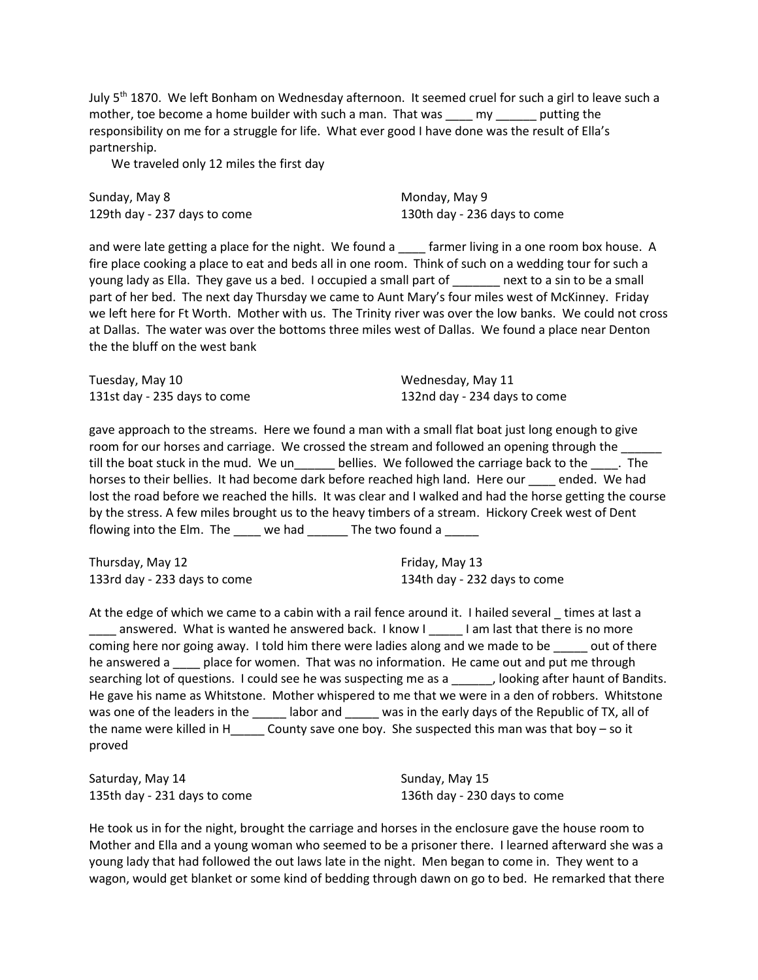July  $5<sup>th</sup>$  1870. We left Bonham on Wednesday afternoon. It seemed cruel for such a girl to leave such a mother, toe become a home builder with such a man. That was \_\_\_\_\_ my \_\_\_\_\_\_ putting the responsibility on me for a struggle for life. What ever good I have done was the result of Ella's partnership.

We traveled only 12 miles the first day

Sunday, May 8 129th day - 237 days to come Monday, May 9 130th day - 236 days to come

and were late getting a place for the night. We found a starmer living in a one room box house. A fire place cooking a place to eat and beds all in one room. Think of such on a wedding tour for such a young lady as Ella. They gave us a bed. I occupied a small part of \_\_\_\_\_\_ next to a sin to be a small part of her bed. The next day Thursday we came to Aunt Mary's four miles west of McKinney. Friday we left here for Ft Worth. Mother with us. The Trinity river was over the low banks. We could not cross at Dallas. The water was over the bottoms three miles west of Dallas. We found a place near Denton the the bluff on the west bank

Tuesday, May 10 131st day - 235 days to come Wednesday, May 11 132nd day - 234 days to come

gave approach to the streams. Here we found a man with a small flat boat just long enough to give room for our horses and carriage. We crossed the stream and followed an opening through the till the boat stuck in the mud. We un\_\_\_\_\_\_ bellies. We followed the carriage back to the \_\_\_\_. The horses to their bellies. It had become dark before reached high land. Here our ended. We had lost the road before we reached the hills. It was clear and I walked and had the horse getting the course by the stress. A few miles brought us to the heavy timbers of a stream. Hickory Creek west of Dent flowing into the Elm. The \_\_\_\_ we had \_\_\_\_\_\_ The two found a \_\_\_\_\_

Thursday, May 12 133rd day - 233 days to come Friday, May 13 134th day - 232 days to come

At the edge of which we came to a cabin with a rail fence around it. I hailed several \_ times at last a answered. What is wanted he answered back. I know I lam last that there is no more coming here nor going away. I told him there were ladies along and we made to be \_\_\_\_\_ out of there he answered a \_\_\_\_ place for women. That was no information. He came out and put me through searching lot of questions. I could see he was suspecting me as a a set booking after haunt of Bandits. He gave his name as Whitstone. Mother whispered to me that we were in a den of robbers. Whitstone was one of the leaders in the \_\_\_\_\_ labor and \_\_\_\_\_ was in the early days of the Republic of TX, all of the name were killed in H\_\_\_\_\_ County save one boy. She suspected this man was that boy – so it proved

Saturday, May 14 135th day - 231 days to come Sunday, May 15 136th day - 230 days to come

He took us in for the night, brought the carriage and horses in the enclosure gave the house room to Mother and Ella and a young woman who seemed to be a prisoner there. I learned afterward she was a young lady that had followed the out laws late in the night. Men began to come in. They went to a wagon, would get blanket or some kind of bedding through dawn on go to bed. He remarked that there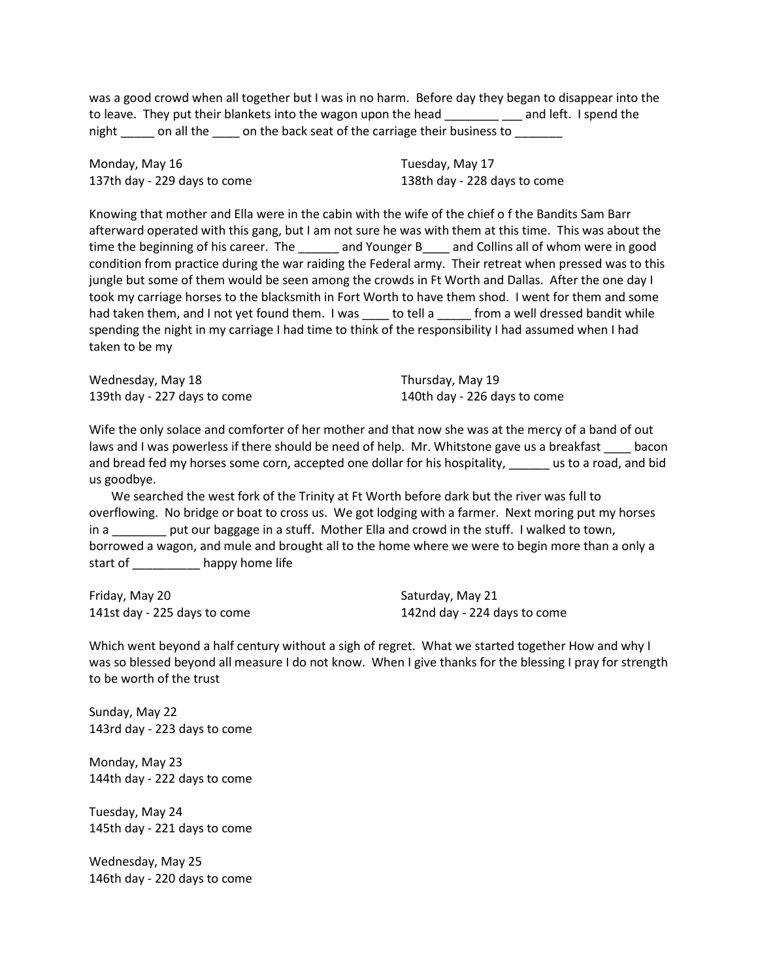was a good crowd when all together but I was in no harm. Before day they began to disappear into the to leave. They put their blankets into the wagon upon the head \_\_\_\_\_\_\_\_\_\_\_ and left. I spend the night \_\_\_\_\_ on all the \_\_\_\_ on the back seat of the carriage their business to \_\_\_\_\_

Monday, May 16 137th day - 229 days to come Tuesday, May 17 138th day - 228 days to come

Knowing that mother and Ella were in the cabin with the wife of the chief o f the Bandits Sam Barr afterward operated with this gang, but I am not sure he was with them at this time. This was about the time the beginning of his career. The \_\_\_\_\_\_ and Younger B \_\_\_ and Collins all of whom were in good condition from practice during the war raiding the Federal army. Their retreat when pressed was to this jungle but some of them would be seen among the crowds in Ft Worth and Dallas. After the one day I took my carriage horses to the blacksmith in Fort Worth to have them shod. I went for them and some had taken them, and I not yet found them. I was \_\_\_\_\_ to tell a \_\_\_\_\_ from a well dressed bandit while spending the night in my carriage I had time to think of the responsibility I had assumed when I had taken to be my

| Wednesday, May 18            | Thursday, May 19             |
|------------------------------|------------------------------|
| 139th day - 227 days to come | 140th day - 226 days to come |

Wife the only solace and comforter of her mother and that now she was at the mercy of a band of out laws and I was powerless if there should be need of help. Mr. Whitstone gave us a breakfast \_\_\_\_ bacon and bread fed my horses some corn, accepted one dollar for his hospitality, we use to a road, and bid us goodbye.

We searched the west fork of the Trinity at Ft Worth before dark but the river was full to overflowing. No bridge or boat to cross us. We got lodging with a farmer. Next moring put my horses in a \_\_\_\_\_\_\_\_ put our baggage in a stuff. Mother Ella and crowd in the stuff. I walked to town, borrowed a wagon, and mule and brought all to the home where we were to begin more than a only a start of \_\_\_\_\_\_\_\_\_\_\_\_\_ happy home life

Friday, May 20 141st day - 225 days to come Saturday, May 21 142nd day - 224 days to come

Which went beyond a half century without a sigh of regret. What we started together How and why I was so blessed beyond all measure I do not know. When I give thanks for the blessing I pray for strength to be worth of the trust

Sunday, May 22 143rd day - 223 days to come

Monday, May 23 144th day - 222 days to come

Tuesday, May 24 145th day - 221 days to come

Wednesday, May 25 146th day - 220 days to come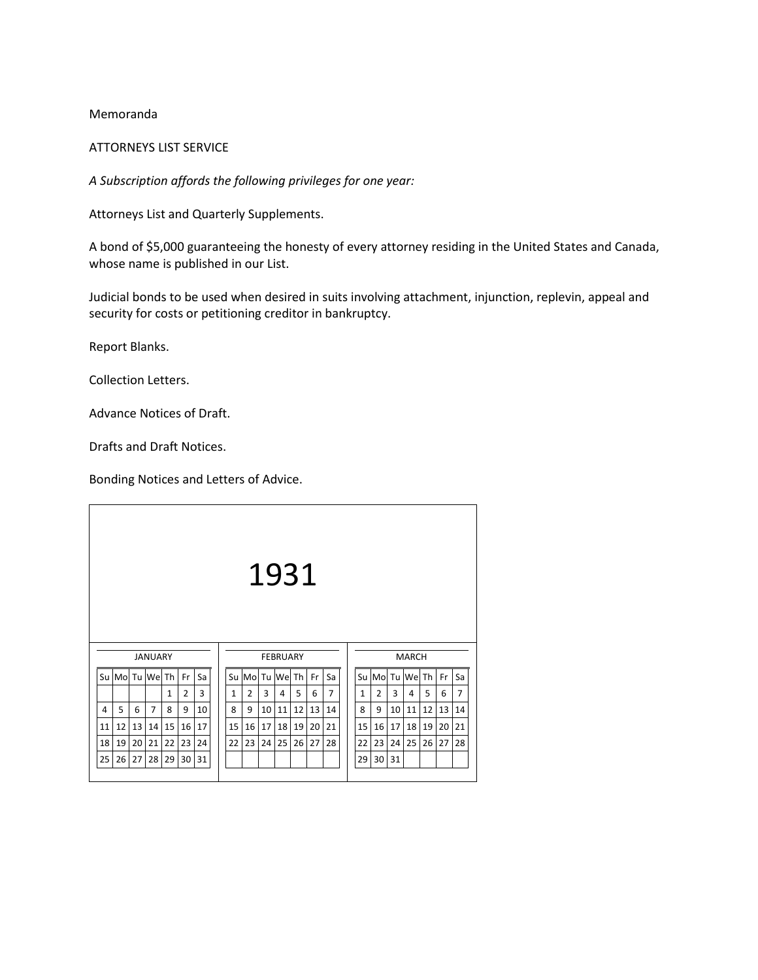### Memoranda

### ATTORNEYS LIST SERVICE

*A Subscription affords the following privileges for one year:*

Attorneys List and Quarterly Supplements.

A bond of \$5,000 guaranteeing the honesty of every attorney residing in the United States and Canada, whose name is published in our List.

Judicial bonds to be used when desired in suits involving attachment, injunction, replevin, appeal and security for costs or petitioning creditor in bankruptcy.

Report Blanks.

Collection Letters.

Advance Notices of Draft.

Drafts and Draft Notices.

Bonding Notices and Letters of Advice.

| 1931<br><b>JANUARY</b><br><b>FEBRUARY</b><br><b>MARCH</b><br>Su Mol Tu Wel Th<br>Su Mol Tu Wel Th<br>Fr<br>Su Mol Tu Wel Th<br>Sa<br>Fr<br>Sa<br>3<br>7<br>5<br>2<br>3<br>2<br>5<br>6<br>2<br>3<br>1<br>$\mathbf{1}$<br>1<br>4<br>4<br>5<br>7<br>12<br>8<br>9<br>8<br>11<br>13<br>9<br>10<br>11<br>12<br>9<br>10<br>8<br>6<br>10<br>4<br>14<br>12<br>13<br>15<br>15<br>16<br>17<br>15<br>17<br>14<br>16<br>17<br>18<br>19<br>16<br>18<br>19<br>11<br>20<br>21 |    |    |    |    |    |    |  |    |    |    |    |    |    |    |    |    |    |    |    |    |                |
|---------------------------------------------------------------------------------------------------------------------------------------------------------------------------------------------------------------------------------------------------------------------------------------------------------------------------------------------------------------------------------------------------------------------------------------------------------------|----|----|----|----|----|----|--|----|----|----|----|----|----|----|----|----|----|----|----|----|----------------|
|                                                                                                                                                                                                                                                                                                                                                                                                                                                               |    |    |    |    |    |    |  |    |    |    |    |    |    |    |    |    |    |    |    |    |                |
|                                                                                                                                                                                                                                                                                                                                                                                                                                                               |    |    |    |    |    |    |  |    |    |    |    |    |    |    |    |    |    |    |    | Fr | Sa             |
|                                                                                                                                                                                                                                                                                                                                                                                                                                                               |    |    |    |    |    |    |  |    |    |    |    |    |    |    |    |    |    |    |    | 6  | $\overline{7}$ |
|                                                                                                                                                                                                                                                                                                                                                                                                                                                               |    |    |    |    |    |    |  |    |    |    |    |    |    |    |    |    |    |    |    | 13 | 14             |
|                                                                                                                                                                                                                                                                                                                                                                                                                                                               |    |    |    |    |    |    |  |    |    |    |    |    |    |    |    |    |    |    |    | 20 | 21             |
| 18                                                                                                                                                                                                                                                                                                                                                                                                                                                            | 19 | 20 | 21 | 22 | 23 | 24 |  | 22 | 23 | 24 | 25 | 26 | 27 | 28 | 22 | 23 | 24 | 25 | 26 | 27 | 28             |
| 25                                                                                                                                                                                                                                                                                                                                                                                                                                                            | 26 | 27 | 28 | 29 | 30 | 31 |  |    |    |    |    |    |    |    | 29 | 30 | 31 |    |    |    |                |
|                                                                                                                                                                                                                                                                                                                                                                                                                                                               |    |    |    |    |    |    |  |    |    |    |    |    |    |    |    |    |    |    |    |    |                |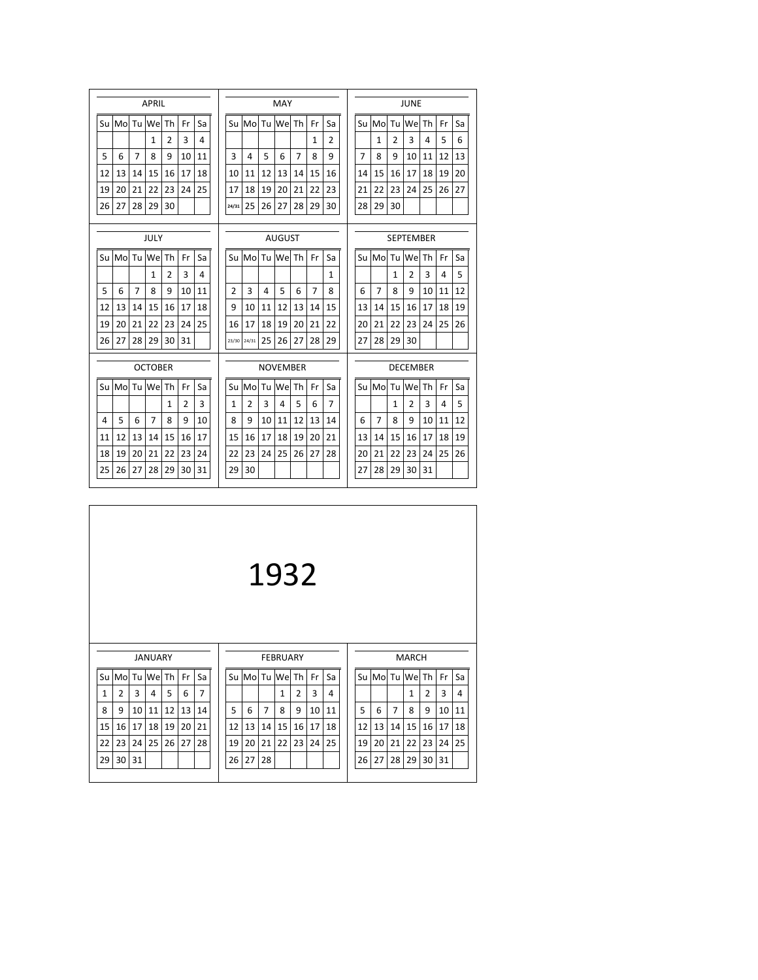|    |    |                | <b>APRIL</b>   |                |                | MAY |  |  |                |                |      |                 |                |                |                |  |                 |                | <b>JUNE</b>    |                |                  |    |    |    |  |
|----|----|----------------|----------------|----------------|----------------|-----|--|--|----------------|----------------|------|-----------------|----------------|----------------|----------------|--|-----------------|----------------|----------------|----------------|------------------|----|----|----|--|
| Su | Mo | Tu             | We Th          |                | Fr             | Sa  |  |  | Su             | Mo             | Tu l | We              | Th             | Fr             | Sa             |  |                 |                | Su Mo          | Tu l           | We               | Th | Fr | Sa |  |
|    |    |                | 1              | $\mathfrak{p}$ | 3              | 4   |  |  |                |                |      |                 |                | $\mathbf{1}$   | $\overline{2}$ |  |                 |                | 1              | $\overline{2}$ | 3                | 4  | 5  | 6  |  |
| 5  | 6  | $\overline{7}$ | 8              | q              | 10             | 11  |  |  | 3              | 4              | 5    | 6               | $\overline{7}$ | 8              | 9              |  |                 | $\overline{7}$ | 8              | q              | 10               | 11 | 12 | 13 |  |
| 12 | 13 | 14             | 15             | 16             | 17             | 18  |  |  | 10             | 11             | 12   | 13              | 14             | 15             | 16             |  |                 | 14             | 15             | 16             | 17               | 18 | 19 | 20 |  |
| 19 | 20 | 21             | 22             | 23             | 24             | 25  |  |  | 17             | 18             | 19   | 20              | 21             | 22             | 23             |  |                 | 21             | 22             | 23             | 24               | 25 | 26 | 27 |  |
| 26 | 27 | 28             | 29             | 30             |                |     |  |  | 24/31          | 25             | 26   | 27              | 28             | 29             | 30             |  |                 | 28             | 29             | 30             |                  |    |    |    |  |
|    |    |                | JULY           |                |                |     |  |  |                |                |      | <b>AUGUST</b>   |                |                |                |  |                 |                |                |                | <b>SEPTEMBER</b> |    |    |    |  |
| Su | Mo | Tu             | We Th          |                | Fr             | Sa  |  |  | Su             | Mo             |      | Tu We Th        |                | Fr             | Sa             |  |                 |                | Su Mo          |                | Tu We Th         |    | Fr | Sa |  |
|    |    |                | 1              | $\overline{2}$ | 3              | 4   |  |  |                |                |      |                 |                |                | $\mathbf{1}$   |  |                 |                |                | 1              | $\overline{2}$   | 3  | 4  | 5  |  |
| 5  | 6  | $\overline{7}$ | 8              | 9              | 10             | 11  |  |  | $\mathfrak{p}$ | 3              | 4    | 5               | 6              | $\overline{7}$ | 8              |  |                 | 6              | $\overline{7}$ | 8              | 9                | 10 | 11 | 12 |  |
| 12 | 13 | 14             | 15             | 16             | 17             | 18  |  |  | 9              | 10             | 11   | 12              | 13             | 14             | 15             |  |                 | 13             | 14             | 15             | 16               | 17 | 18 | 19 |  |
| 19 | 20 | 21             | 22             | 23             | 24             | 25  |  |  | 16             | 17             | 18   | 19              | 20             | 21             | 22             |  |                 | 20             | 21             | 22             | 23               | 24 | 25 | 26 |  |
| 26 | 27 | 28             | 29             | 30             | 31             |     |  |  |                | 23/30 24/31    | 25   | 26              | 27             | 28             | 29             |  |                 | 27             | 28             | 29             | 30               |    |    |    |  |
|    |    |                | <b>OCTOBER</b> |                |                |     |  |  |                |                |      | <b>NOVEMBER</b> |                |                |                |  | <b>DECEMBER</b> |                |                |                |                  |    |    |    |  |
| Su | Mo | Tu             | We Th          |                | Fr             | Sa  |  |  | Su             | Mo             | Tu   | Wel             | Th             | Fr             | Sa             |  |                 | Su             | Mo             | Tu             | Wel Th           |    | Fr | Sa |  |
|    |    |                |                | 1              | $\overline{2}$ | 3   |  |  | 1              | $\overline{2}$ | 3    | 4               | 5              | 6              | 7              |  |                 |                |                | 1              | $\overline{2}$   | 3  | 4  | 5  |  |
| 4  | 5  | 6              | $\overline{7}$ | 8              | 9              | 10  |  |  | 8              | 9              | 10   | 11              | 12             | 13             | 14             |  |                 | 6              | $\overline{7}$ | 8              | 9                | 10 | 11 | 12 |  |
| 11 | 12 | 13             | 14             | 15             | 16             | 17  |  |  | 15             | 16             | 17   | 18              | 19             | 20             | 21             |  |                 | 13             | 14             | 15             | 16               | 17 | 18 | 19 |  |
| 18 | 19 | 20             | 21             | 22             | 23             | 24  |  |  | 22             | 23             | 24   | 25              | 26             | 27             | 28             |  |                 | 20             | 21             | 22             | 23               | 24 | 25 | 26 |  |
| 25 | 26 | 27             | 28             | 29             | 30             | 31  |  |  | 29             | 30             |      |                 |                |                |                |  |                 | 27             | 28             | 29             | 30               | 31 |    |    |  |

|    |                |    |                |    |    |    |    |    |                | 1932            |    |    |    |    |          |                |              |                |    |    |
|----|----------------|----|----------------|----|----|----|----|----|----------------|-----------------|----|----|----|----|----------|----------------|--------------|----------------|----|----|
|    |                |    | <b>JANUARY</b> |    |    |    |    |    |                | <b>FEBRUARY</b> |    |    |    |    |          |                | <b>MARCH</b> |                |    |    |
| Su | Mo             | Tu | We             | Th | Fr | Sa | Su | Mo | Tu             | We Th           |    | Fr | Sa |    | Su Mo Tu |                | We Th        |                | Fr | Sa |
| 1  | $\overline{2}$ | 3  | 4              | 5  | 6  | 7  |    |    |                | 1               | 2  | 3  | 4  |    |          |                | 1            | $\overline{2}$ | 3  | 4  |
| 8  | 9              | 10 | 11             | 12 | 13 | 14 | 5  | 6  | $\overline{7}$ | 8               | 9  | 10 | 11 | 5  | 6        | $\overline{7}$ | 8            | 9              | 10 | 11 |
| 15 | 16             | 17 | 18             | 19 | 20 | 21 | 12 | 13 | 14             | 15              | 16 | 17 | 18 | 12 | 13       | 14             | 15           | 16             | 17 | 18 |
| 22 | 23             | 24 | 25             | 26 | 27 | 28 | 19 | 20 | 21             | 22              | 23 | 24 | 25 | 19 | 20       | 21             | 22           | 23             | 24 | 25 |
| 29 | 30             | 31 |                |    |    |    | 26 | 27 | 28             |                 |    |    |    | 26 | 27       | 28             | 29           | 30             | 31 |    |